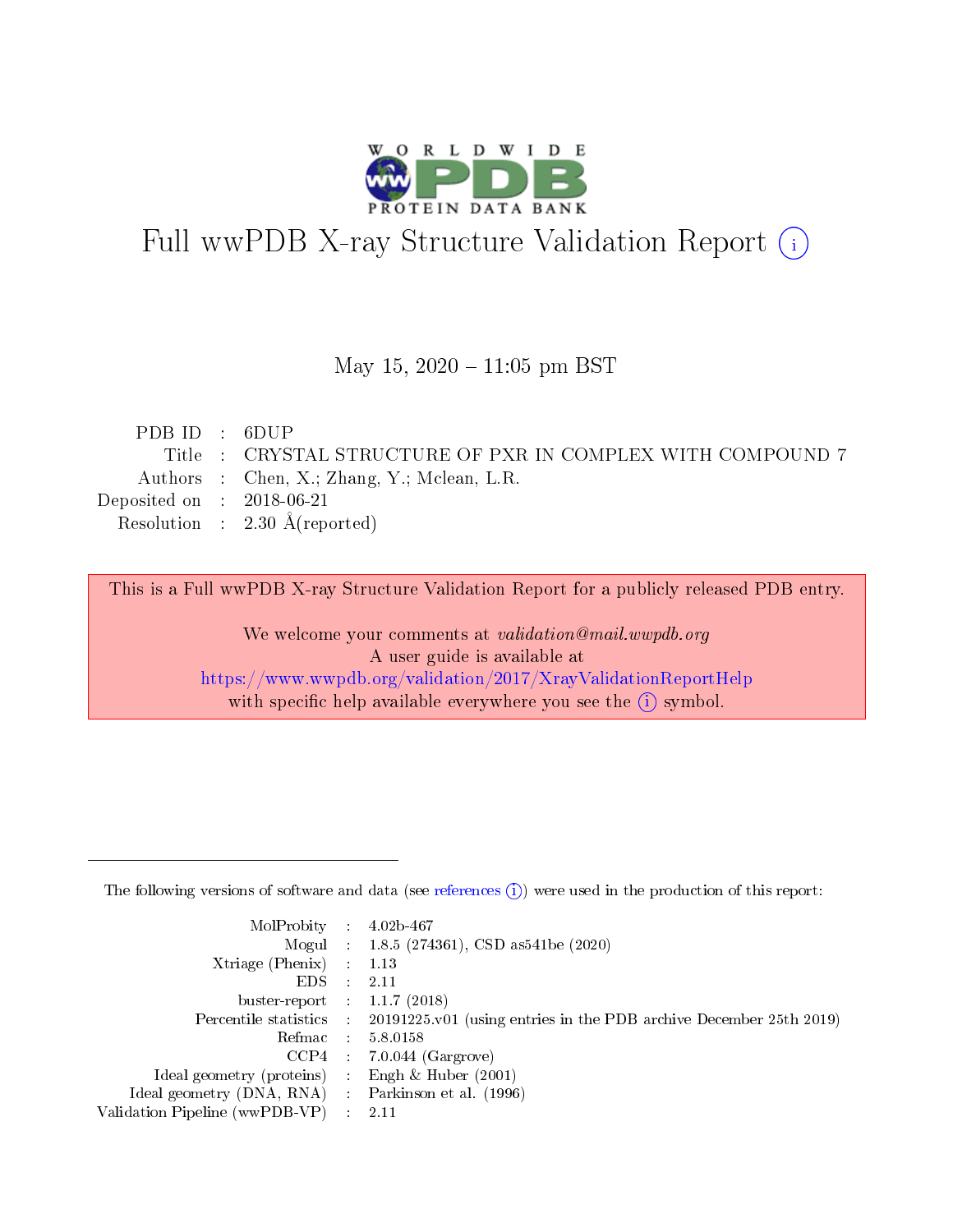

# Full wwPDB X-ray Structure Validation Report (i)

#### May 15,  $2020 - 11:05$  pm BST

| PDB ID : 6DUP               |                                                             |
|-----------------------------|-------------------------------------------------------------|
|                             | Title : CRYSTAL STRUCTURE OF PXR IN COMPLEX WITH COMPOUND 7 |
|                             | Authors : Chen, X.; Zhang, Y.; Mclean, L.R.                 |
| Deposited on : $2018-06-21$ |                                                             |
|                             | Resolution : $2.30 \text{ Å}$ (reported)                    |
|                             |                                                             |

This is a Full wwPDB X-ray Structure Validation Report for a publicly released PDB entry.

We welcome your comments at validation@mail.wwpdb.org A user guide is available at <https://www.wwpdb.org/validation/2017/XrayValidationReportHelp> with specific help available everywhere you see the  $(i)$  symbol.

The following versions of software and data (see [references](https://www.wwpdb.org/validation/2017/XrayValidationReportHelp#references)  $(1)$ ) were used in the production of this report:

| MolProbity :                   |               | $4.02b - 467$                                                               |
|--------------------------------|---------------|-----------------------------------------------------------------------------|
|                                |               | Mogul : $1.8.5$ (274361), CSD as 541be (2020)                               |
| $X$ triage (Phenix) :          |               | 1.13                                                                        |
| EDS.                           |               | 2.11                                                                        |
| buster-report : $1.1.7$ (2018) |               |                                                                             |
| Percentile statistics :        |               | $20191225 \text{v}01$ (using entries in the PDB archive December 25th 2019) |
| Refmac :                       |               | 5.8.0158                                                                    |
| $CCP4$ :                       |               | $7.0.044$ (Gargrove)                                                        |
| Ideal geometry (proteins) :    |               | Engh $\&$ Huber (2001)                                                      |
| Ideal geometry (DNA, RNA) :    |               | Parkinson et al. (1996)                                                     |
| Validation Pipeline (wwPDB-VP) | $\mathcal{L}$ | 2.11                                                                        |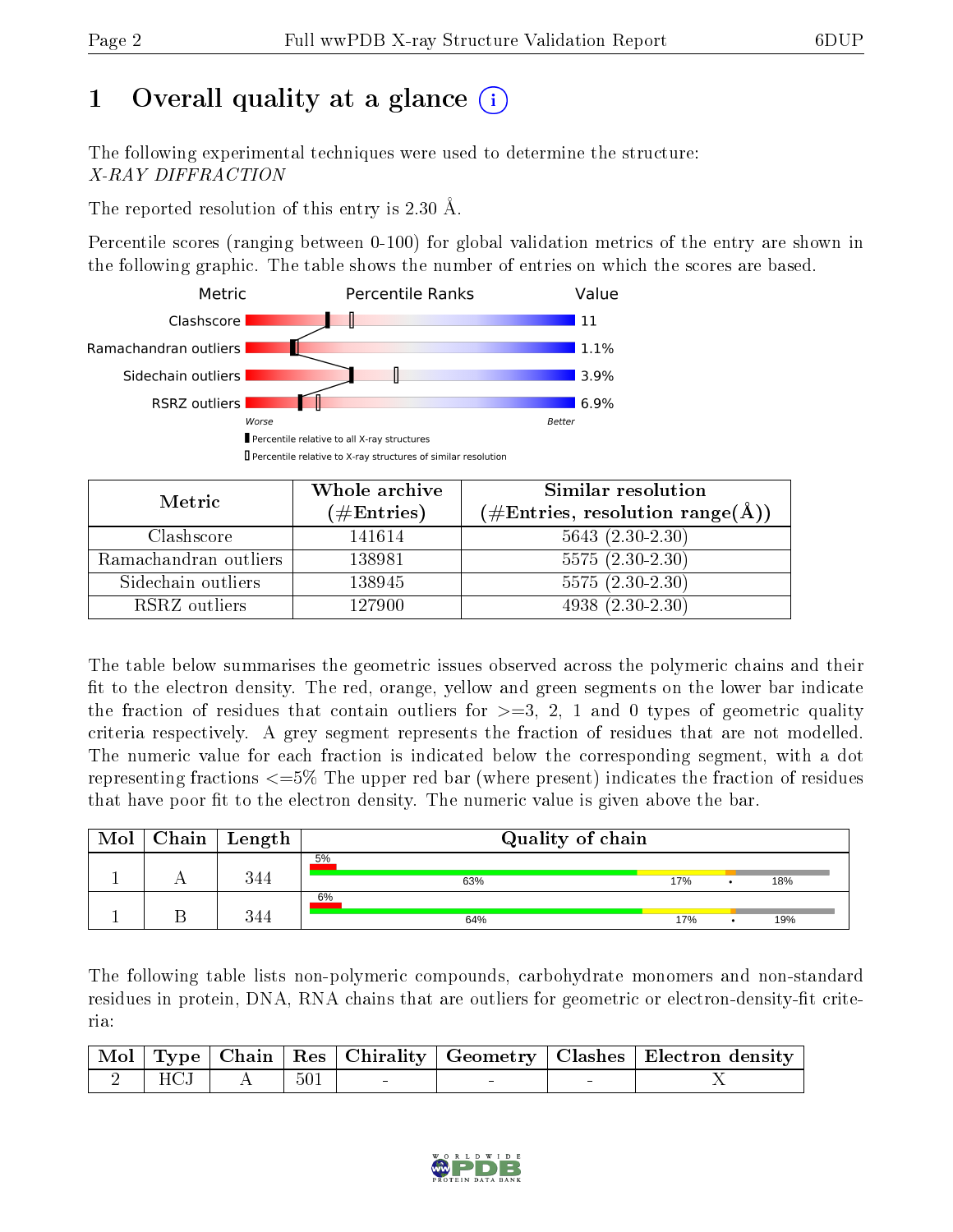# 1 [O](https://www.wwpdb.org/validation/2017/XrayValidationReportHelp#overall_quality)verall quality at a glance  $(i)$

The following experimental techniques were used to determine the structure: X-RAY DIFFRACTION

The reported resolution of this entry is 2.30 Å.

Percentile scores (ranging between 0-100) for global validation metrics of the entry are shown in the following graphic. The table shows the number of entries on which the scores are based.



| Metric                | Whole archive<br>$(\#\text{Entries})$ | Similar resolution<br>$(\#\text{Entries}, \text{resolution range}(\text{\AA}))$ |
|-----------------------|---------------------------------------|---------------------------------------------------------------------------------|
| Clashscore            | 141614                                | $5643(2.30-2.30)$                                                               |
| Ramachandran outliers | 138981                                | $5575(2.30-2.30)$                                                               |
| Sidechain outliers    | 138945                                | $5575(2.30-2.30)$                                                               |
| RSRZ outliers         | 127900                                | $4938(2.30-2.30)$                                                               |

The table below summarises the geometric issues observed across the polymeric chains and their fit to the electron density. The red, orange, yellow and green segments on the lower bar indicate the fraction of residues that contain outliers for  $\geq=3$ , 2, 1 and 0 types of geometric quality criteria respectively. A grey segment represents the fraction of residues that are not modelled. The numeric value for each fraction is indicated below the corresponding segment, with a dot representing fractions  $\epsilon = 5\%$  The upper red bar (where present) indicates the fraction of residues that have poor fit to the electron density. The numeric value is given above the bar.

| Mol | $\mid$ Chain $\mid$ Length | Quality of chain |     |  |     |  |  |
|-----|----------------------------|------------------|-----|--|-----|--|--|
|     | 344                        | 5%<br>63%        | 17% |  | 18% |  |  |
|     | 344                        | 6%<br>64%        | 17% |  | 19% |  |  |

The following table lists non-polymeric compounds, carbohydrate monomers and non-standard residues in protein, DNA, RNA chains that are outliers for geometric or electron-density-fit criteria:

|  |                              |  |  | Mol   Type   Chain   Res   Chirality   Geometry   Clashes   Electron density |
|--|------------------------------|--|--|------------------------------------------------------------------------------|
|  | $\sqrt{2$ HCJ A $\sqrt{501}$ |  |  |                                                                              |

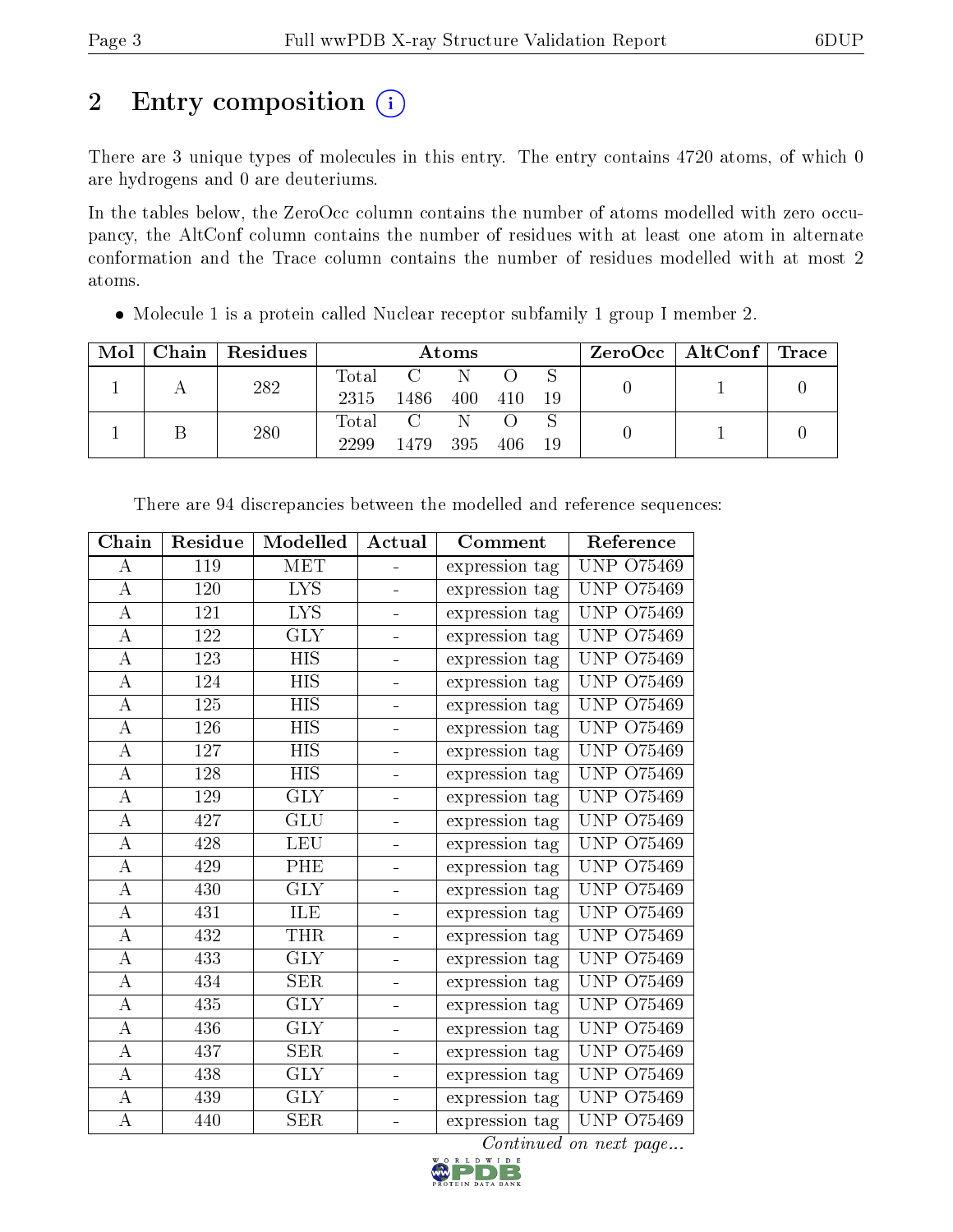# 2 Entry composition  $\left( \cdot \right)$

There are 3 unique types of molecules in this entry. The entry contains 4720 atoms, of which 0 are hydrogens and 0 are deuteriums.

In the tables below, the ZeroOcc column contains the number of atoms modelled with zero occupancy, the AltConf column contains the number of residues with at least one atom in alternate conformation and the Trace column contains the number of residues modelled with at most 2 atoms.

Molecule 1 is a protein called Nuclear receptor subfamily 1 group I member 2.

| Mol | Chain   Residues | Atoms               |                                           |           |      | $\rm ZeroOcc$   Alt $\rm Conf$   Trace |  |  |
|-----|------------------|---------------------|-------------------------------------------|-----------|------|----------------------------------------|--|--|
|     | 282              | Total<br>2315       | 1486                                      | -N<br>400 | 410  | 19                                     |  |  |
|     | 280              | $\rm Total$<br>2299 | $\overline{C}$ and $\overline{C}$<br>1479 | 395       | 406. | -19                                    |  |  |

| Chain              | Residue | Modelled                | Actual   | Comment        | Reference              |
|--------------------|---------|-------------------------|----------|----------------|------------------------|
| А                  | 119     | <b>MET</b>              |          | expression tag | <b>UNP 075469</b>      |
| A                  | 120     | <b>LYS</b>              |          | expression tag | <b>UNP 075469</b>      |
| $\boldsymbol{A}$   | 121     | $\overline{\text{LYS}}$ | -        | expression tag | <b>UNP 075469</b>      |
| $\bf{A}$           | 122     | GLY                     | -        | expression tag | <b>UNP 075469</b>      |
| $\boldsymbol{A}$   | 123     | $\overline{HIS}$        | -        | expression tag | <b>UNP 075469</b>      |
| $\bf{A}$           | 124     | <b>HIS</b>              |          | expression tag | <b>UNP 075469</b>      |
| А                  | 125     | <b>HIS</b>              |          | expression tag | <b>UNP 075469</b>      |
| А                  | 126     | <b>HIS</b>              | -        | expression tag | <b>UNP 075469</b>      |
| $\boldsymbol{A}$   | 127     | <b>HIS</b>              | Ξ.       | expression tag | <b>UNP 075469</b>      |
| $\overline{\rm A}$ | 128     | $\overline{HIS}$        | ÷,       | expression tag | <b>UNP 075469</b>      |
| A                  | 129     | <b>GLY</b>              |          | expression tag | <b>UNP 075469</b>      |
| А                  | 427     | GLU                     |          | expression tag | <b>UNP 075469</b>      |
| $\boldsymbol{A}$   | 428     | <b>LEU</b>              | ÷        | expression tag | <b>UNP 075469</b>      |
| $\boldsymbol{A}$   | 429     | PHE                     | Ξ.       | expression tag | <b>UNP 075469</b>      |
| $\boldsymbol{A}$   | 430     | $\overline{\text{GLY}}$ |          | expression tag | <b>UNP 075469</b>      |
| А                  | 431     | ILE                     |          | expression tag | <b>UNP 075469</b>      |
| $\boldsymbol{A}$   | 432     | <b>THR</b>              |          | expression tag | <b>UNP 075469</b>      |
| $\boldsymbol{A}$   | 433     | <b>GLY</b>              | -        | expression tag | <b>UNP 075469</b>      |
| $\overline{A}$     | 434     | SER                     | ÷,       | expression tag | <b>UNP 075469</b>      |
| $\overline{\rm A}$ | 435     | GLY                     | ÷,       | expression tag | <b>UNP 075469</b>      |
| $\boldsymbol{A}$   | 436     | <b>GLY</b>              |          | expression tag | <b>UNP 075469</b>      |
| A                  | 437     | SER                     |          | expression tag | <b>UNP 075469</b>      |
| $\boldsymbol{A}$   | 438     | <b>GLY</b>              | $\equiv$ | expression tag | <b>UNP 075469</b>      |
| $\bf{A}$           | 439     | <b>GLY</b>              | -        | expression tag | <b>UNP 075469</b>      |
| А                  | 440     | <b>SER</b>              |          | expression tag | <b>UNP 075469</b>      |
|                    |         |                         |          |                | Continued on next page |

There are 94 discrepancies between the modelled and reference sequences:

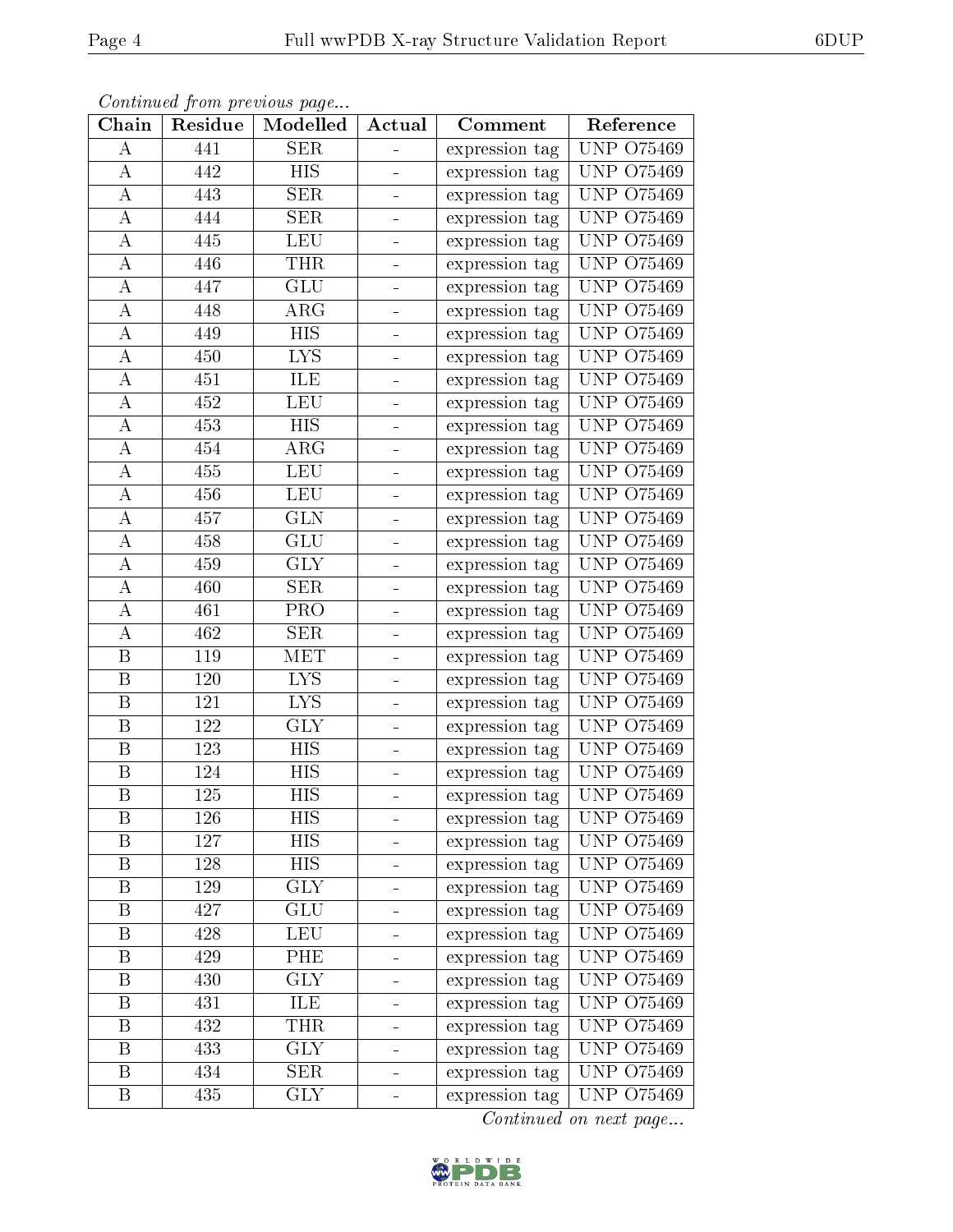|--|

|                  |         | Continued from previous page |                |                |                   |
|------------------|---------|------------------------------|----------------|----------------|-------------------|
| ${\bf Chain}$    | Residue | Modelled                     | Actual         | Comment        | Reference         |
| $\boldsymbol{A}$ | 441     | <b>SER</b>                   |                | expression tag | UNP 075469        |
| А                | 442     | <b>HIS</b>                   |                | expression tag | UNP 075469        |
| $\boldsymbol{A}$ | 443     | <b>SER</b>                   |                | expression tag | UNP 075469        |
| A                | 444     | <b>SER</b>                   |                | expression tag | <b>UNP 075469</b> |
| $\boldsymbol{A}$ | 445     | LEU                          |                | expression tag | UNP 075469        |
| A                | 446     | <b>THR</b>                   |                | expression tag | UNP.<br>O75469    |
| A                | 447     | GLU                          |                | expression tag | <b>UNP 075469</b> |
| А                | 448     | $\rm{ARG}$                   |                | expression tag | UNP<br>O75469     |
| A                | 449     | HIS                          | $\blacksquare$ | expression tag | UNP<br>O75469     |
| А                | 450     | <b>LYS</b>                   |                | expression tag | <b>UNP 075469</b> |
| А                | 451     | ILE                          |                | expression tag | UNP.<br>O75469    |
| А                | 452     | <b>LEU</b>                   |                | expression tag | UNP<br>O75469     |
| А                | 453     | HIS                          |                | expression tag | O75469<br>UNP.    |
| А                | 454     | $\rm{ARG}$                   |                | expression tag | <b>UNP 075469</b> |
| $\boldsymbol{A}$ | 455     | <b>LEU</b>                   |                | expression tag | UNP 075469        |
| A                | 456     | <b>LEU</b>                   |                | expression tag | <b>UNP 075469</b> |
| A                | 457     | GLN                          |                | expression tag | <b>UNP 075469</b> |
| A                | 458     | GLU                          | ÷              | expression tag | <b>UNP 075469</b> |
| $\boldsymbol{A}$ | 459     | <b>GLY</b>                   |                | expression tag | <b>UNP 075469</b> |
| $\boldsymbol{A}$ | 460     | <b>SER</b>                   |                | expression tag | UNP.<br>O75469    |
| A                | 461     | PRO                          |                | expression tag | O75469<br>UNP.    |
| A                | 462     | <b>SER</b>                   |                | expression tag | UNP.<br>O75469    |
| B                | 119     | MET                          |                | expression tag | <b>UNP 075469</b> |
| $\boldsymbol{B}$ | 120     | <b>LYS</b>                   |                | expression tag | UNP 075469        |
| $\boldsymbol{B}$ | 121     | <b>LYS</b>                   |                | expression tag | UNP<br>O75469     |
| $\boldsymbol{B}$ | 122     | <b>GLY</b>                   |                | expression tag | O75469<br>UNP.    |
| B                | 123     | <b>HIS</b>                   |                | expression tag | <b>UNP 075469</b> |
| $\boldsymbol{B}$ | 124     | HIS                          |                | expression tag | <b>UNP 075469</b> |
| $\boldsymbol{B}$ | 125     | $\overline{\mathrm{HIS}}$    |                | expression tag | <b>UNP 075469</b> |
| Β                | 126     | HIS                          |                | expression tag | UNP 075469        |
| $\boldsymbol{B}$ | 127     | HIS                          |                | expression tag | <b>UNP 075469</b> |
| B                | 128     | HIS                          |                | expression tag | <b>UNP 075469</b> |
| $\boldsymbol{B}$ | 129     | <b>GLY</b>                   |                | expression tag | <b>UNP 075469</b> |
| $\boldsymbol{B}$ | 427     | GLU                          |                | expression tag | <b>UNP 075469</b> |
| B                | 428     | <b>LEU</b>                   |                | expression tag | <b>UNP 075469</b> |
| B                | 429     | <b>PHE</b>                   |                | expression tag | UNP 075469        |
| B                | 430     | $\overline{\text{GLY}}$      | $\blacksquare$ | expression tag | UNP 075469        |
| B                | 431     | ILE                          |                | expression tag | <b>UNP 075469</b> |
| B                | 432     | <b>THR</b>                   |                | expression tag | UNP 075469        |
| B                | 433     | GLY                          |                | expression tag | UNP 075469        |
| B                | 434     | <b>SER</b>                   |                | expression tag | UNP 075469        |
| $\, {\bf B}$     | 435     | <b>GLY</b>                   |                | expression tag | UNP 075469        |

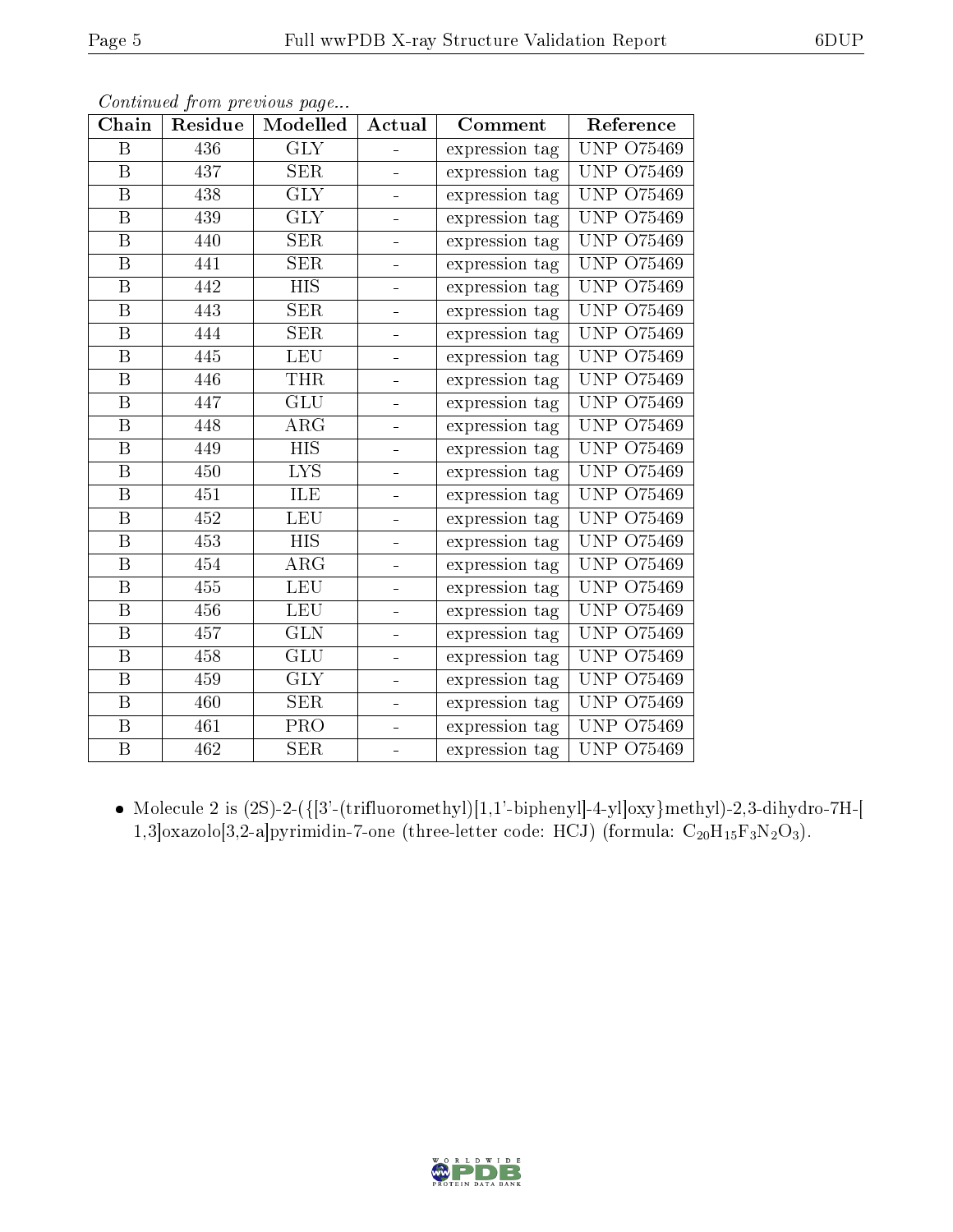| Chain                   | Residue | Continuale from previous page<br>Modelled | Actual                   | Comment        | Reference         |
|-------------------------|---------|-------------------------------------------|--------------------------|----------------|-------------------|
| B                       | 436     | <b>GLY</b>                                |                          | expression tag | <b>UNP 075469</b> |
| $\boldsymbol{B}$        | 437     | <b>SER</b>                                |                          | expression tag | <b>UNP 075469</b> |
| B                       | 438     | <b>GLY</b>                                | -                        | expression tag | UNP.<br>O75469    |
| B                       | 439     | <b>GLY</b>                                |                          | expression tag | UNP<br>O75469     |
| $\boldsymbol{B}$        | 440     | SER                                       | ÷                        | expression tag | UNP<br>O75469     |
| B                       | 441     | <b>SER</b>                                |                          | expression tag | <b>UNP 075469</b> |
| $\boldsymbol{B}$        | 442     | <b>HIS</b>                                |                          | expression tag | UNP<br>O75469     |
| $\boldsymbol{B}$        | 443     | SER                                       | $\blacksquare$           | expression tag | UNP.<br>O75469    |
| B                       | 444     | <b>SER</b>                                | -                        | expression tag | UNP.<br>O75469    |
| B                       | 445     | <b>LEU</b>                                |                          | expression tag | <b>UNP 075469</b> |
| $\, {\bf B}$            | 446     | <b>THR</b>                                | $\blacksquare$           | expression tag | UNP.<br>O75469    |
| $\boldsymbol{B}$        | 447     | $\overline{\mathrm{GLU}}$                 |                          | expression tag | <b>UNP 075469</b> |
| $\boldsymbol{B}$        | 448     | $\rm{ARG}$                                | -                        | expression tag | UNP<br>O75469     |
| B                       | 449     | <b>HIS</b>                                | $\overline{\phantom{0}}$ | expression tag | UNP.<br>O75469    |
| $\boldsymbol{B}$        | 450     | $\overline{\text{LYS}}$                   |                          | expression tag | <b>UNP 075469</b> |
| B                       | 451     | ILE                                       | $\blacksquare$           | expression tag | UNP.<br>O75469    |
| $\overline{\mathrm{B}}$ | 452     | LEU                                       | -                        | expression tag | <b>UNP 075469</b> |
| B                       | 453     | <b>HIS</b>                                |                          | expression tag | <b>UNP 075469</b> |
| $\boldsymbol{B}$        | 454     | $\rm{ARG}$                                | ÷                        | expression tag | UNP<br>O75469     |
| B                       | 455     | LEU                                       |                          | expression tag | UNP<br>O75469     |
| $\boldsymbol{B}$        | 456     | <b>LEU</b>                                | -                        | expression tag | <b>UNP 075469</b> |
| B                       | 457     | <b>GLN</b>                                | $\overline{\phantom{0}}$ | expression tag | UNP<br>O75469     |
| B                       | 458     | GLU                                       |                          | expression tag | UNP<br>O75469     |
| $\boldsymbol{B}$        | 459     | <b>GLY</b>                                | ÷                        | expression tag | UNP<br>O75469     |
| $\boldsymbol{B}$        | 460     | SER                                       |                          | expression tag | <b>UNP 075469</b> |
| $\overline{B}$          | 461     | PRO                                       |                          | expression tag | UNP<br>O75469     |
| $\overline{B}$          | 462     | SER                                       | $\blacksquare$           | expression tag | <b>UNP 075469</b> |

• Molecule 2 is  $(2S)$ -2- $(\{3'$ -(trifluoromethyl) $[1,1'$ -biphenyl $]$ -4-yl $]$ oxy $]$ methyl $]$ -2,3-dihydro-7H- $[$ 1,3]oxazolo[3,2-a]pyrimidin-7-one (three-letter code: HCJ) (formula:  $C_{20}H_{15}F_3N_2O_3$ ).

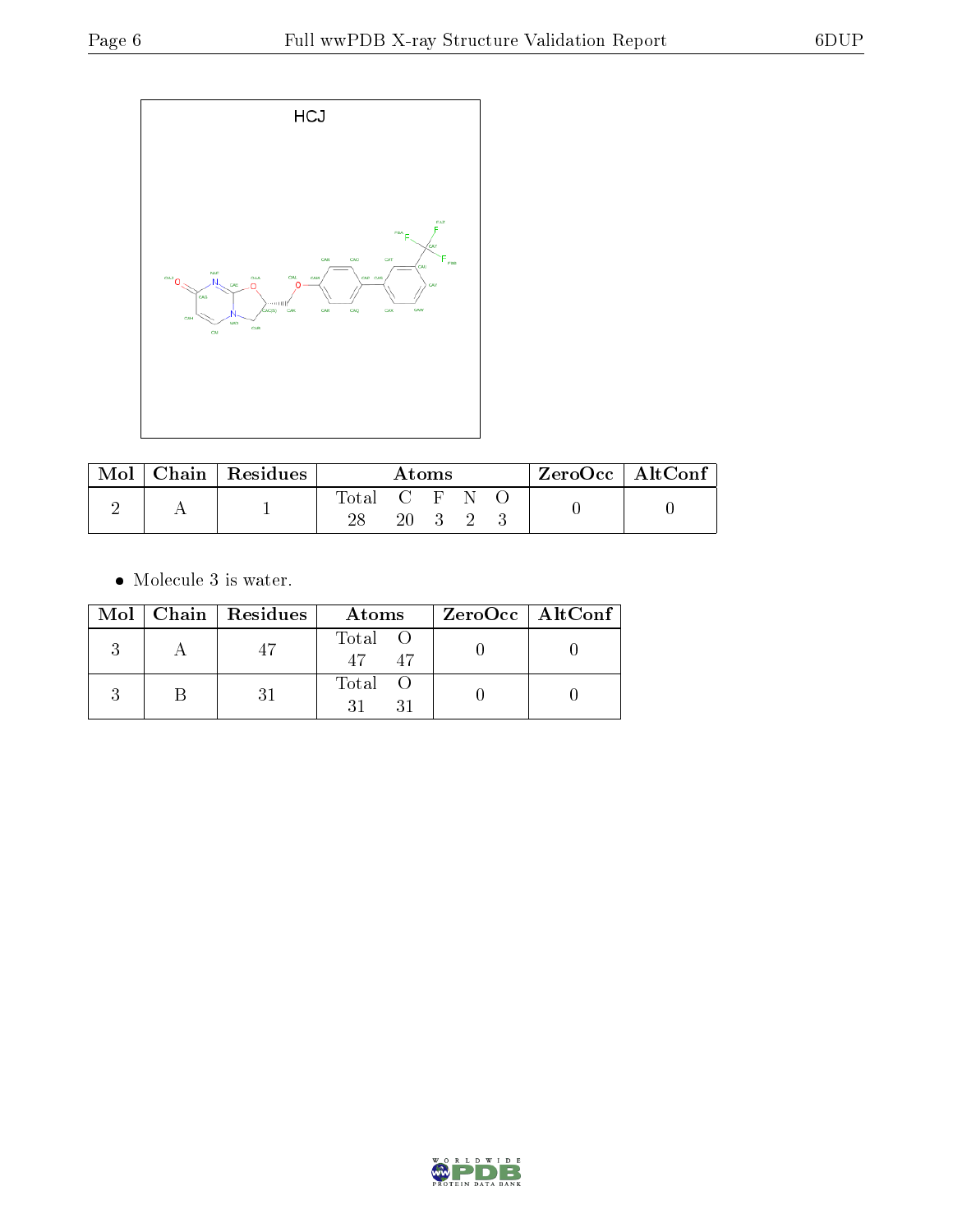

| Mol |  | Chain   Residues | Atoms         |                                         |  |  |  | $ZeroOcc \mid AltConf \mid$ |
|-----|--|------------------|---------------|-----------------------------------------|--|--|--|-----------------------------|
|     |  |                  | Total C F N O |                                         |  |  |  |                             |
|     |  |                  | 20            | $\begin{array}{cccc} 3 & 2 \end{array}$ |  |  |  |                             |

 $\bullet\,$  Molecule 3 is water.

|  | $Mol$   Chain   Residues | Atoms                             | ZeroOcc   AltConf |
|--|--------------------------|-----------------------------------|-------------------|
|  |                          | Total O<br>$\overline{47}$<br>-47 |                   |
|  |                          | Total O                           |                   |

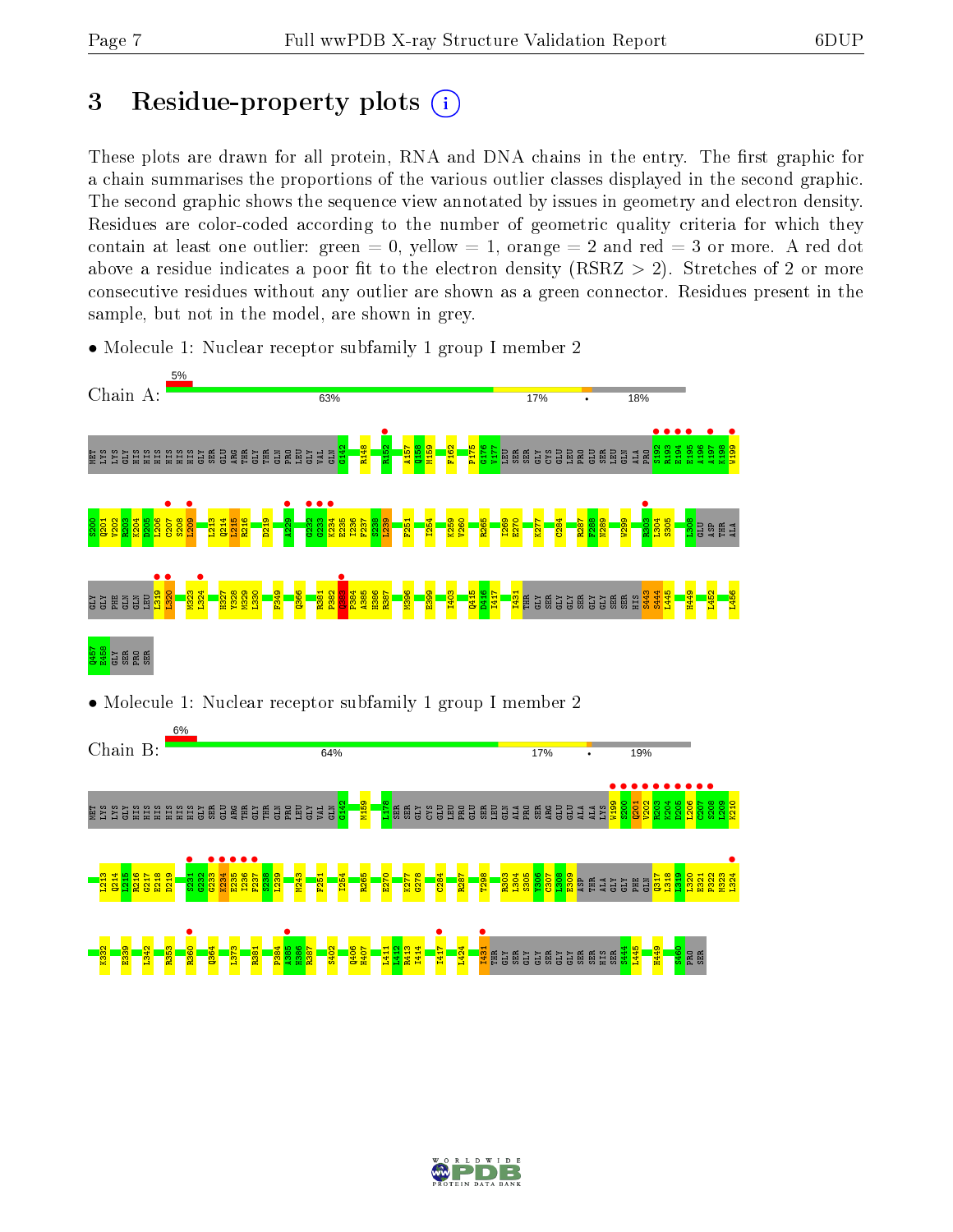# 3 Residue-property plots  $(i)$

These plots are drawn for all protein, RNA and DNA chains in the entry. The first graphic for a chain summarises the proportions of the various outlier classes displayed in the second graphic. The second graphic shows the sequence view annotated by issues in geometry and electron density. Residues are color-coded according to the number of geometric quality criteria for which they contain at least one outlier: green  $= 0$ , yellow  $= 1$ , orange  $= 2$  and red  $= 3$  or more. A red dot above a residue indicates a poor fit to the electron density (RSRZ  $> 2$ ). Stretches of 2 or more consecutive residues without any outlier are shown as a green connector. Residues present in the sample, but not in the model, are shown in grey.

• Molecule 1: Nuclear receptor subfamily 1 group I member 2



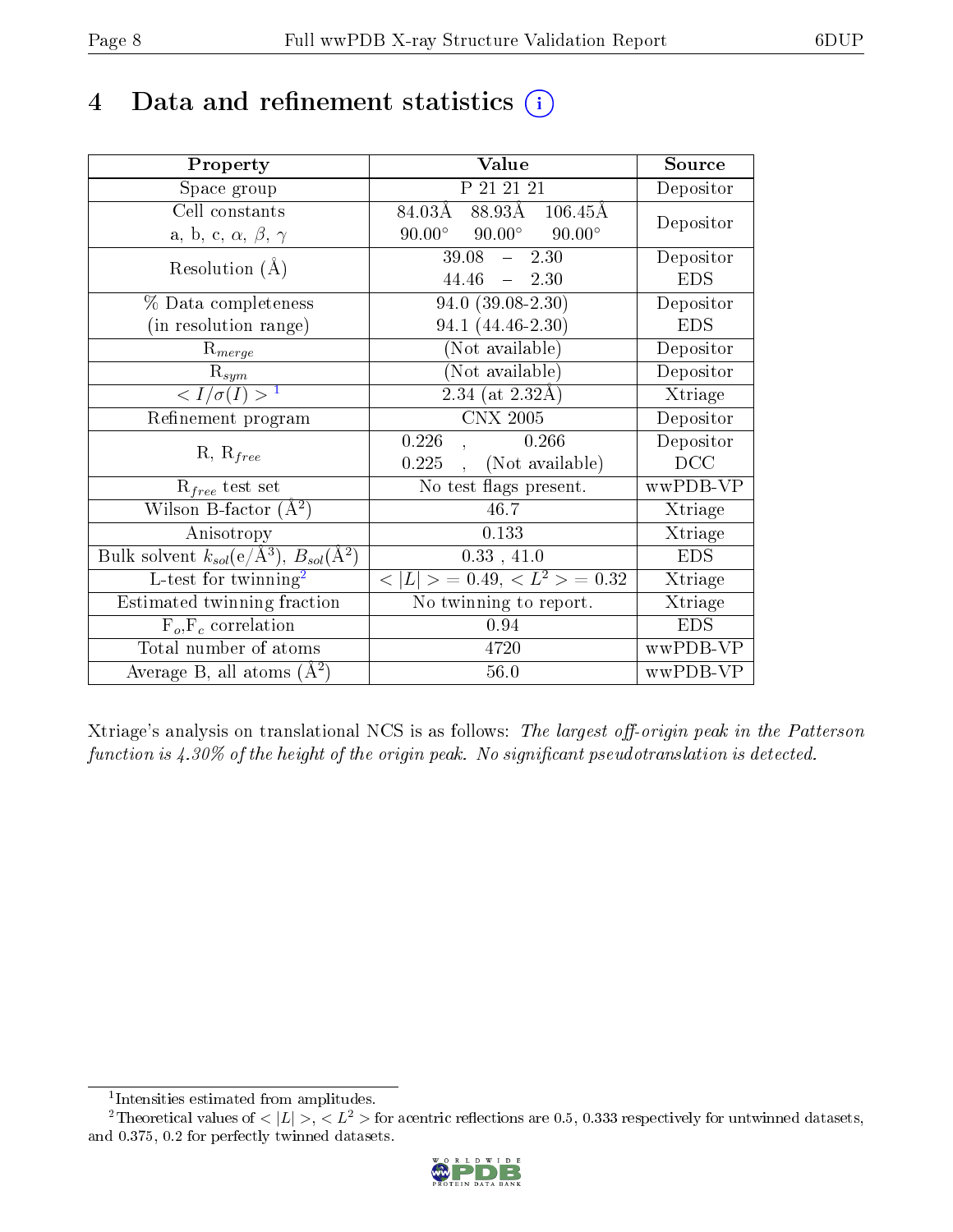# 4 Data and refinement statistics  $(i)$

| Property                                                              | Value                                             | Source                       |
|-----------------------------------------------------------------------|---------------------------------------------------|------------------------------|
| Space group                                                           | P 21 21 21                                        | Depositor                    |
| Cell constants                                                        | 88.93Å 106.45Å<br>84.03Å                          | Depositor                    |
| a, b, c, $\alpha$ , $\beta$ , $\gamma$                                | $90.00^\circ$<br>$90.00^\circ$<br>$90.00^{\circ}$ |                              |
| Resolution $(A)$                                                      | 39.08<br>2.30<br>$\frac{1}{2}$                    | Depositor                    |
|                                                                       | 44.46<br>$-2.30$                                  | <b>EDS</b>                   |
| % Data completeness                                                   | $94.0(39.08-2.30)$                                | Depositor                    |
| (in resolution range)                                                 | 94.1 (44.46-2.30)                                 | <b>EDS</b>                   |
| $\mathrm{R}_{merge}$                                                  | (Not available)                                   | Depositor                    |
| $\mathrm{R}_{sym}$                                                    | (Not available)                                   | Depositor                    |
| $\sqrt{I/\sigma}(I) > 1$                                              | $2.34$ (at $2.32\text{\AA}$ )                     | Xtriage                      |
| Refinement program                                                    | <b>CNX 2005</b>                                   | Depositor                    |
|                                                                       | 0.226<br>0.266                                    | Depositor                    |
| $R, R_{free}$                                                         | (Not available)<br>0.225                          | DCC                          |
| $R_{free}$ test set                                                   | No test flags present.                            | wwPDB-VP                     |
| Wilson B-factor $(A^2)$                                               | 46.7                                              | Xtriage                      |
| Anisotropy                                                            | 0.133                                             | Xtriage                      |
| Bulk solvent $k_{sol}(\text{e}/\text{\AA}^3),\,B_{sol}(\text{\AA}^2)$ | 0.33, 41.0                                        | <b>EDS</b>                   |
| L-test for $\overline{\text{twinning}}^2$                             | $< L >$ = 0.49, $< L2$ > = 0.32                   | $\overline{\text{X}}$ triage |
| Estimated twinning fraction                                           | No twinning to report.                            | Xtriage                      |
| $F_o, F_c$ correlation                                                | 0.94                                              | <b>EDS</b>                   |
| Total number of atoms                                                 | 4720                                              | wwPDB-VP                     |
| Average B, all atoms $(A^2)$                                          | 56.0                                              | wwPDB-VP                     |

Xtriage's analysis on translational NCS is as follows: The largest off-origin peak in the Patterson function is  $4.30\%$  of the height of the origin peak. No significant pseudotranslation is detected.

<sup>&</sup>lt;sup>2</sup>Theoretical values of  $\langle |L| \rangle$ ,  $\langle L^2 \rangle$  for acentric reflections are 0.5, 0.333 respectively for untwinned datasets, and 0.375, 0.2 for perfectly twinned datasets.



<span id="page-7-1"></span><span id="page-7-0"></span><sup>1</sup> Intensities estimated from amplitudes.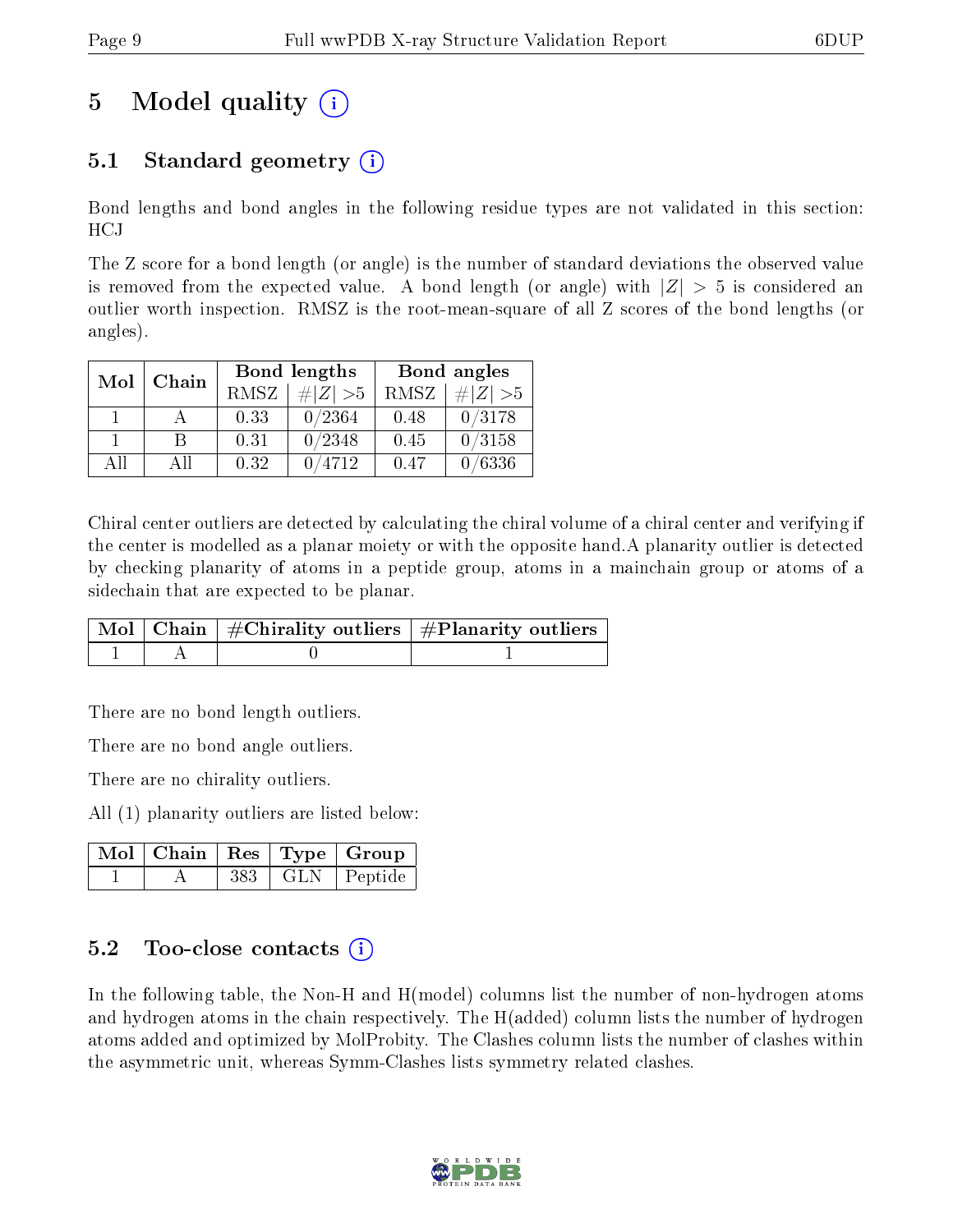# 5 Model quality  $(i)$

### 5.1 Standard geometry  $\overline{()}$

Bond lengths and bond angles in the following residue types are not validated in this section: HCJ

The Z score for a bond length (or angle) is the number of standard deviations the observed value is removed from the expected value. A bond length (or angle) with  $|Z| > 5$  is considered an outlier worth inspection. RMSZ is the root-mean-square of all Z scores of the bond lengths (or angles).

| Mol | Chain |      | Bond lengths |      | Bond angles |
|-----|-------|------|--------------|------|-------------|
|     |       | RMSZ | $\# Z  > 5$  | RMSZ | # $ Z  > 5$ |
|     |       | 0.33 | 0/2364       | 0.48 | 0/3178      |
|     | R     | 0.31 | 0/2348       | 0.45 | 0/3158      |
| AΠ  | A 11  | 0.32 | /4712        | 0.47 | 0/6336      |

Chiral center outliers are detected by calculating the chiral volume of a chiral center and verifying if the center is modelled as a planar moiety or with the opposite hand.A planarity outlier is detected by checking planarity of atoms in a peptide group, atoms in a mainchain group or atoms of a sidechain that are expected to be planar.

|  | $\mid$ Mol $\mid$ Chain $\mid$ #Chirality outliers $\mid$ #Planarity outliers $\mid$ |
|--|--------------------------------------------------------------------------------------|
|  |                                                                                      |

There are no bond length outliers.

There are no bond angle outliers.

There are no chirality outliers.

All (1) planarity outliers are listed below:

|  |     | $\mid$ Mol $\mid$ Chain $\mid$ Res $\mid$ Type $\mid$ Group |
|--|-----|-------------------------------------------------------------|
|  | 383 | GLN   Peptide                                               |

### $5.2$  Too-close contacts  $(i)$

In the following table, the Non-H and H(model) columns list the number of non-hydrogen atoms and hydrogen atoms in the chain respectively. The H(added) column lists the number of hydrogen atoms added and optimized by MolProbity. The Clashes column lists the number of clashes within the asymmetric unit, whereas Symm-Clashes lists symmetry related clashes.

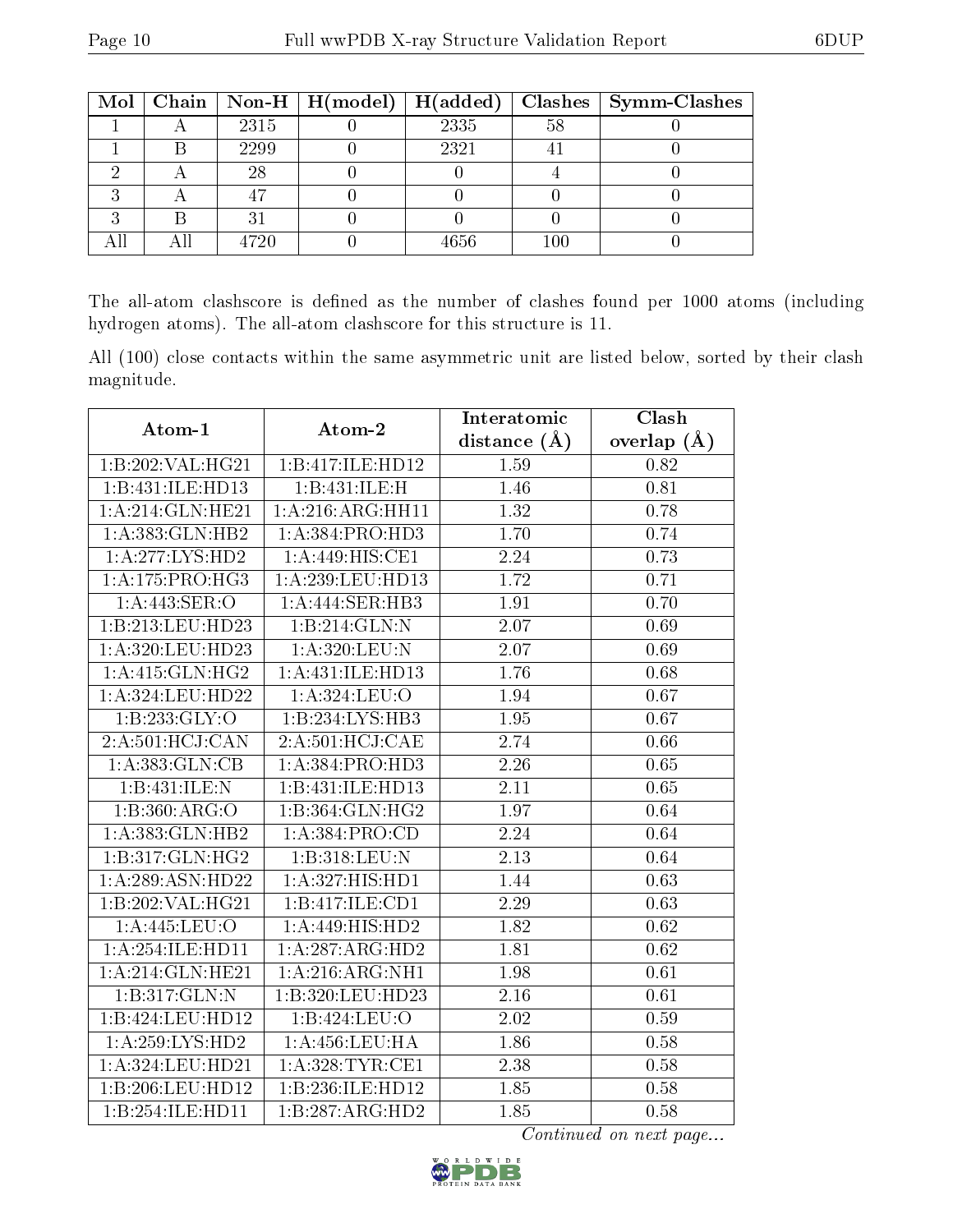|   |      | Mol   Chain   Non-H   H(model)   H(added) |      |         | $Clashes$   Symm-Clashes |
|---|------|-------------------------------------------|------|---------|--------------------------|
|   | 2315 |                                           | 2335 | 58      |                          |
|   | 2299 |                                           | 2321 |         |                          |
|   | 28   |                                           |      |         |                          |
|   |      |                                           |      |         |                          |
| ົ |      |                                           |      |         |                          |
|   | 4720 |                                           | 4656 | $100\,$ |                          |

The all-atom clashscore is defined as the number of clashes found per 1000 atoms (including hydrogen atoms). The all-atom clashscore for this structure is 11.

All (100) close contacts within the same asymmetric unit are listed below, sorted by their clash magnitude.

| Atom-1             | Atom-2                       | Interatomic       | Clash         |
|--------------------|------------------------------|-------------------|---------------|
|                    |                              | distance $(\AA)$  | overlap $(A)$ |
| 1:B:202:VAL:HG21   | 1:B:417:ILE:HD12             | 1.59              | 0.82          |
| 1:B:431:ILE:HD13   | 1:B:431:ILE:H                | 1.46              | 0.81          |
| 1:A:214:GLN:HE21   | 1:A:216:ARG:HH11             | 1.32              | 0.78          |
| 1:A:383:GLN:HB2    | 1:A:384:PRO:H <sub>D3</sub>  | 1.70              | 0.74          |
| 1:A:277:LYS:HD2    | 1: A:449:HIS:CE1             | $\overline{2.24}$ | 0.73          |
| 1:A:175:PRO:HG3    | 1:A:239:LEU:HD13             | 1.72              | 0.71          |
| 1:A:443:SER:O      | 1:A:444:SER:HB3              | 1.91              | 0.70          |
| 1:B:213:LEU:HD23   | 1:B:214:GLN:N                | 2.07              | 0.69          |
| 1:A:320:LEU:HD23   | 1: A:320: LEU: N             | 2.07              | 0.69          |
| 1: A:415: GLN: HG2 | 1:A:431:ILE:HD13             | 1.76              | 0.68          |
| 1:A:324:LEU:HD22   | 1:A:324:LEU:O                | 1.94              | 0.67          |
| 1: B: 233: GLY: O  | 1:B:234:LYS:HB3              | 1.95              | 0.67          |
| 2:A:501:HCJ:CAN    | 2:A:501:HCJ:CAE              | 2.74              | 0.66          |
| 1: A: 383: GLN: CB | 1:A:384:PRO:H <sub>D3</sub>  | 2.26              | 0.65          |
| 1:B:431:ILE:N      | 1:B:431:ILE:HD13             | 2.11              | 0.65          |
| 1:B:360:ARG:O      | $1:B:364:GLN:H\overline{G2}$ | 1.97              | 0.64          |
| 1:A:383:GLN:HB2    | 1:A:384:PRO:CD               | 2.24              | 0.64          |
| 1:B:317:GLN:HG2    | 1:B:318:LEU:N                | 2.13              | 0.64          |
| 1:A:289:ASN:HD22   | 1: A:327: HIS: HD1           | 1.44              | 0.63          |
| 1:B:202:VAL:HG21   | 1:B:417:ILE:CD1              | 2.29              | 0.63          |
| 1:A:445:LEU:O      | $1:A:449:HIS:H\overline{D2}$ | 1.82              | 0.62          |
| 1:A:254:ILE:HD11   | 1:A:287:ARG:HD2              | 1.81              | 0.62          |
| 1:A:214:GLN:HE21   | 1:A:216:ARG:NH1              | 1.98              | 0.61          |
| 1:B:317:GLN:N      | 1:B:320:LEU:HD23             | $\overline{2.16}$ | 0.61          |
| 1:B:424:LEU:HDI2   | 1:B:424:LEU:O                | 2.02              | 0.59          |
| 1:A:259:LYS:HD2    | 1: A:456:LEU:HA              | 1.86              | 0.58          |
| 1:A:324:LEU:HD21   | 1: A:328:TYR:CE1             | 2.38              | 0.58          |
| 1:B:206:LEU:HD12   | 1:B:236:ILE:HD12             | 1.85              | 0.58          |
| 1:B:254:ILE:HD11   | 1:B:287:ARG:HD2              | 1.85              | 0.58          |

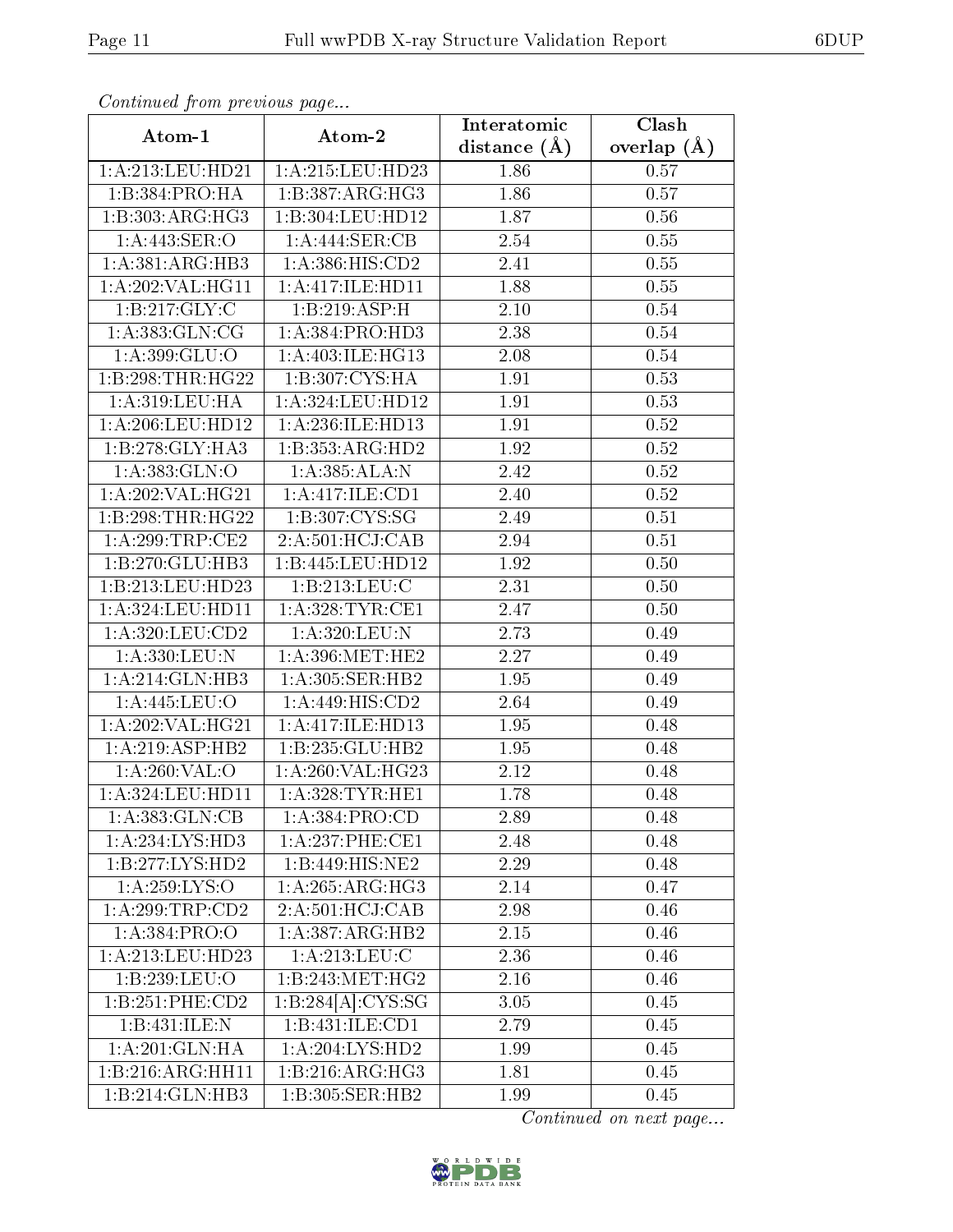| Continuea from previous page |                                                                | Interatomic      | Clash           |
|------------------------------|----------------------------------------------------------------|------------------|-----------------|
| Atom-1                       | Atom-2                                                         | distance $(\AA)$ | overlap $(\AA)$ |
| 1: A:213: LEU: HD21          | 1:A:215:LEU:HD23                                               | 1.86             | 0.57            |
| 1:B:384:PRO:HA               | 1:B:387:ARG:HG3                                                | 1.86             | 0.57            |
| 1:B:303:ARG:HG3              | 1:B:304:LEU:HD12                                               | 1.87             | 0.56            |
| 1: A:443: SER: O             | $1:A:444$ :SER:CB                                              | 2.54             | 0.55            |
| 1:A:381:ARG:HB3              | 1:A:386:HIS:CD2                                                | 2.41             | $0.55\,$        |
| 1:A:202:VAL:HG11             | 1:A:417:ILE:HD11                                               | 1.88             | 0.55            |
| 1:B:217:GLY:C                | 1:B:219:ASP:H                                                  | 2.10             | 0.54            |
| 1: A: 383: GLN: CG           | 1:A:384:PRO:HD3                                                | 2.38             | 0.54            |
| 1:A:399:GLU:O                | 1: A:403: ILE: HG13                                            | 2.08             | 0.54            |
| 1:B:298:THR:HG22             | 1:B:307:CYS:HA                                                 | 1.91             | 0.53            |
| 1: A:319:LEU:HA              | 1:A:324:LEU:HD12                                               | 1.91             | 0.53            |
| 1:A:206:LEU:HD12             | 1:A:236:ILE:HD13                                               | 1.91             | 0.52            |
| 1:B:278:GLY:HA3              | 1:B:353:ARG:HD2                                                | 1.92             | 0.52            |
| 1:A:383:GLN:O                | 1:A:385:ALA:N                                                  | 2.42             | 0.52            |
| 1:A:202:VAL:HG21             | 1:A:417:ILE:CD1                                                | 2.40             | 0.52            |
| 1:B:298:THR:HG22             | 1:B:307:CYS:SG                                                 | 2.49             | 0.51            |
| 1:A:299:TRP:CE2              | 2:A:501:HCJ:CAB                                                | 2.94             | 0.51            |
| 1:B:270:GLU:HB3              | 1:B:445:LEU:HD12                                               | 1.92             | 0.50            |
| 1:B:213:LEU:HD23             | 1:B:213:LEU:C                                                  | 2.31             | 0.50            |
| 1: A: 324: LEU: HD11         | 1: A:328:TYR:CE1                                               | 2.47             | 0.50            |
| 1:A:320:LEU:CD2              | 1:A:320:LEU:N                                                  | 2.73             | 0.49            |
| 1:A:330:LEU:N                | 1: A:396:MET:HE2                                               | 2.27             | 0.49            |
| 1:A:214:GLN:HB3              | 1:A:305:SER:HB2                                                | 1.95             | 0.49            |
| 1:A:445:LEU:O                | 1:A:449:HIS:CD2                                                | 2.64             | 0.49            |
| 1:A:202:VAL:HG21             | 1:A:417:ILE:HD13                                               | 1.95             | 0.48            |
| 1:A:219:ASP:HB2              | 1:B:235:GLU:HB2                                                | 1.95             | 0.48            |
| 1:A:260:VAL:O                | 1:A:260:VAL:HG23                                               | 2.12             | 0.48            |
| 1:A:324:LEU:HD11             | 1:A:328:TYR:HE1                                                | 1.78             | 0.48            |
| 1: A: 383: GLN: CB           | 1:A:384:PRO:CD                                                 | 2.89             | 0.48            |
| 1: A: 234: LYS: HD3          | 1: A:237:PHE:CE1                                               | 2.48             | 0.48            |
| 1:B:277:LYS:HD2              | 1:B:449:HIS:NE2                                                | 2.29             | 0.48            |
| 1: A:259: LYS:O              | 1: A:265:ARG:HG3                                               | 2.14             | 0.47            |
| 1:A:299:TRP:CD2              | 2:A:501:HCJ:CAB                                                | 2.98             | 0.46            |
| 1: A: 384: PRO:O             | 1:A:387:ARG:HB2                                                | $2.15\,$         | 0.46            |
| 1: A:213:LEU:HD23            | 1:A:213:LEU:C                                                  | 2.36             | 0.46            |
| 1:B:239:LEU:O                | 1:B:243:MET:HG2                                                | 2.16             | 0.46            |
| 1:B:251:PHE:CD2              | $1:B:284[A]:\overline{\text{C}Y}\overline{\text{S}:\text{SG}}$ | 3.05             | 0.45            |
| 1:B:431:ILE:N                | 1:B:431:ILE:CD1                                                | 2.79             | 0.45            |
| 1:A:201:GLN:HA               | 1: A:204:LYS:HD2                                               | 1.99             | 0.45            |
| 1:B:216:ARG:HH11             | 1:B:216:ARG:HG3                                                | 1.81             | 0.45            |
| 1:B:214:GLN:HB3              | 1:B:305:SER:HB2                                                | 1.99             | 0.45            |

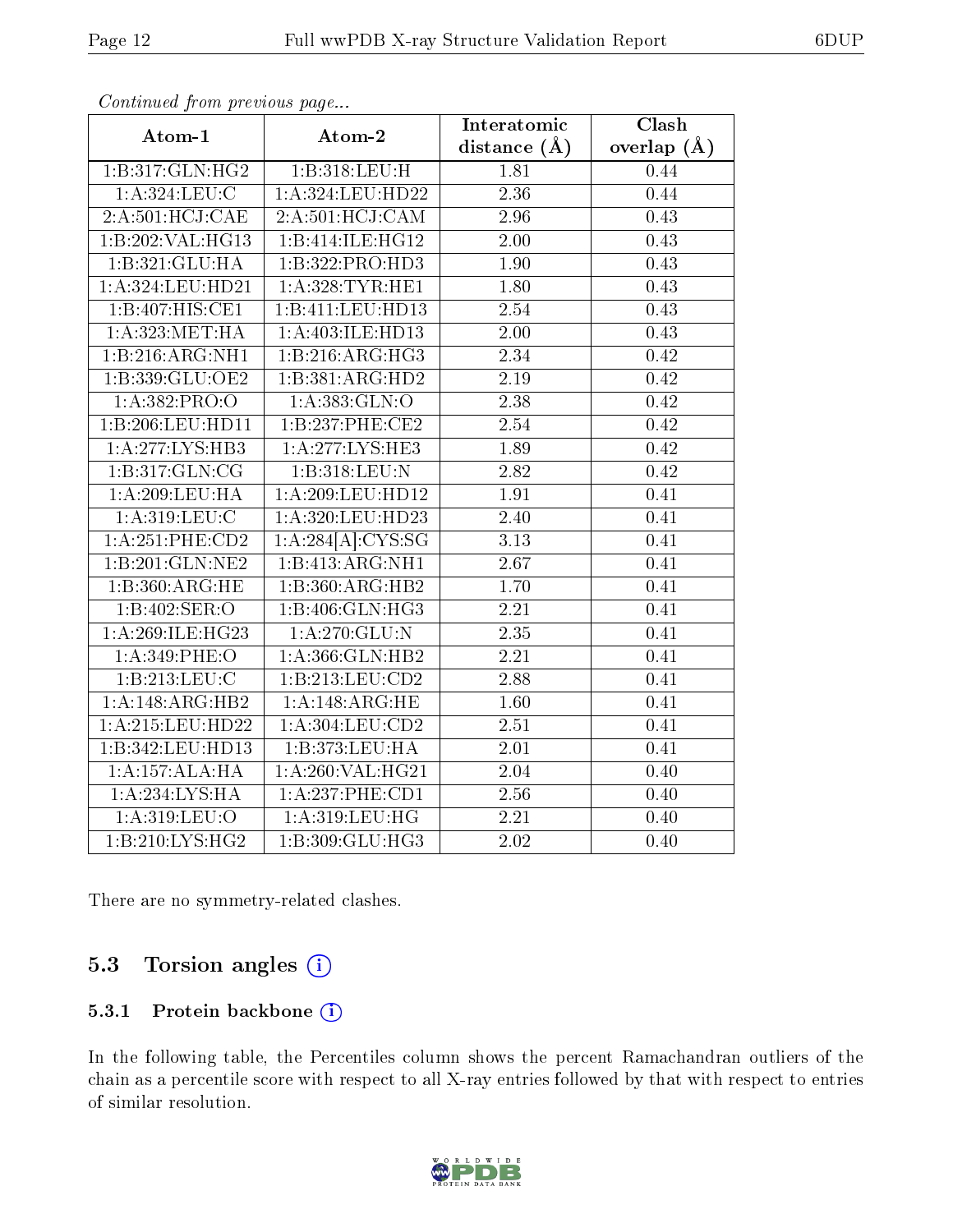| $\mathbf{r}$        | Atom-2              | Interatomic       | $\overline{\text{Clash}}$ |
|---------------------|---------------------|-------------------|---------------------------|
| Atom-1              |                     | distance $(\AA)$  | overlap $(\AA)$           |
| 1:B:317:GLN:HG2     | 1:B:318:LEU:H       | 1.81              | 0.44                      |
| 1: A: 324: LEU: C   | 1:A:324:LEU:HD22    | 2.36              | 0.44                      |
| 2:A:501:HCJ:CAE     | 2:A:501:HCJ:CAM     | 2.96              | $\overline{0}.43$         |
| 1:B:202:VAL:HG13    | 1:B:414:ILE:HG12    | 2.00              | 0.43                      |
| 1:B:321:GLU:HA      | 1:B:322:PRO:HD3     | 1.90              | 0.43                      |
| 1:A:324:LEU:HD21    | 1: A:328:TYR:HE1    | 1.80              | 0.43                      |
| 1:B:407:HIS:CE1     | 1:B:411:LEU:HD13    | 2.54              | 0.43                      |
| 1: A:323:MET:HA     | 1:A:403:ILE:HD13    | 2.00              | 0.43                      |
| 1:B:216:ARG:NH1     | 1:B:216:ARG:HG3     | 2.34              | 0.42                      |
| 1:B:339:GLU:OE2     | 1:B:381:ARG:HD2     | 2.19              | 0.42                      |
| 1:A:382:PRO:O       | 1:A:383:GLN:O       | 2.38              | 0.42                      |
| 1:B:206:LEU:HD11    | 1:B:237:PHE:CE2     | $\overline{2.54}$ | 0.42                      |
| 1:A:277:LYS:HB3     | 1:A:277:LYS:HE3     | 1.89              | 0.42                      |
| 1:B:317:GLN:CG      | 1:B:318:LEU:N       | 2.82              | 0.42                      |
| 1:A:209:LEU:HA      | 1:A:209:LEU:HD12    | 1.91              | 0.41                      |
| 1: A:319: LEU: C    | 1:A:320:LEU:HD23    | 2.40              | 0.41                      |
| 1: A:251:PHE:CD2    | 1:A:284[A]:CYS:SG   | 3.13              | 0.41                      |
| 1:B:201:GLN:NE2     | 1:B:413:ARG:NH1     | 2.67              | 0.41                      |
| 1:B:360:ARG:HE      | 1:B:360:ARG:HB2     | $\overline{1.70}$ | 0.41                      |
| 1:B:402:SER:O       | 1:B:406:GLN:HG3     | 2.21              | 0.41                      |
| 1: A:269: ILE: HG23 | 1: A:270: GLU:N     | 2.35              | 0.41                      |
| 1:A:349:PHE:O       | 1:A:366:GLN:HB2     | 2.21              | 0.41                      |
| 1:B:213:LEU:C       | 1:B:213:LEU:CD2     | 2.88              | 0.41                      |
| 1:A:148:ARG:HB2     | 1:A:148:ARG:HE      | 1.60              | 0.41                      |
| 1:A:215:LEU:HD22    | 1: A: 304: LEU: CD2 | $\overline{2.51}$ | 0.41                      |
| 1:B:342:LEU:HD13    | 1:B:373:LEU:HA      | 2.01              | 0.41                      |
| 1:A:157:ALA:HA      | 1:A:260:VAL:HG21    | 2.04              | 0.40                      |
| 1:A:234:LYS:HA      | 1:A:237:PHE:CD1     | 2.56              | 0.40                      |
| 1: A:319: LEU:O     | 1: A:319: LEU: HG   | 2.21              | 0.40                      |
| 1:B:210:LYS:HG2     | 1:B:309:GLU:HG3     | 2.02              | 0.40                      |

There are no symmetry-related clashes.

### 5.3 Torsion angles  $(i)$

#### 5.3.1 Protein backbone (i)

In the following table, the Percentiles column shows the percent Ramachandran outliers of the chain as a percentile score with respect to all X-ray entries followed by that with respect to entries of similar resolution.

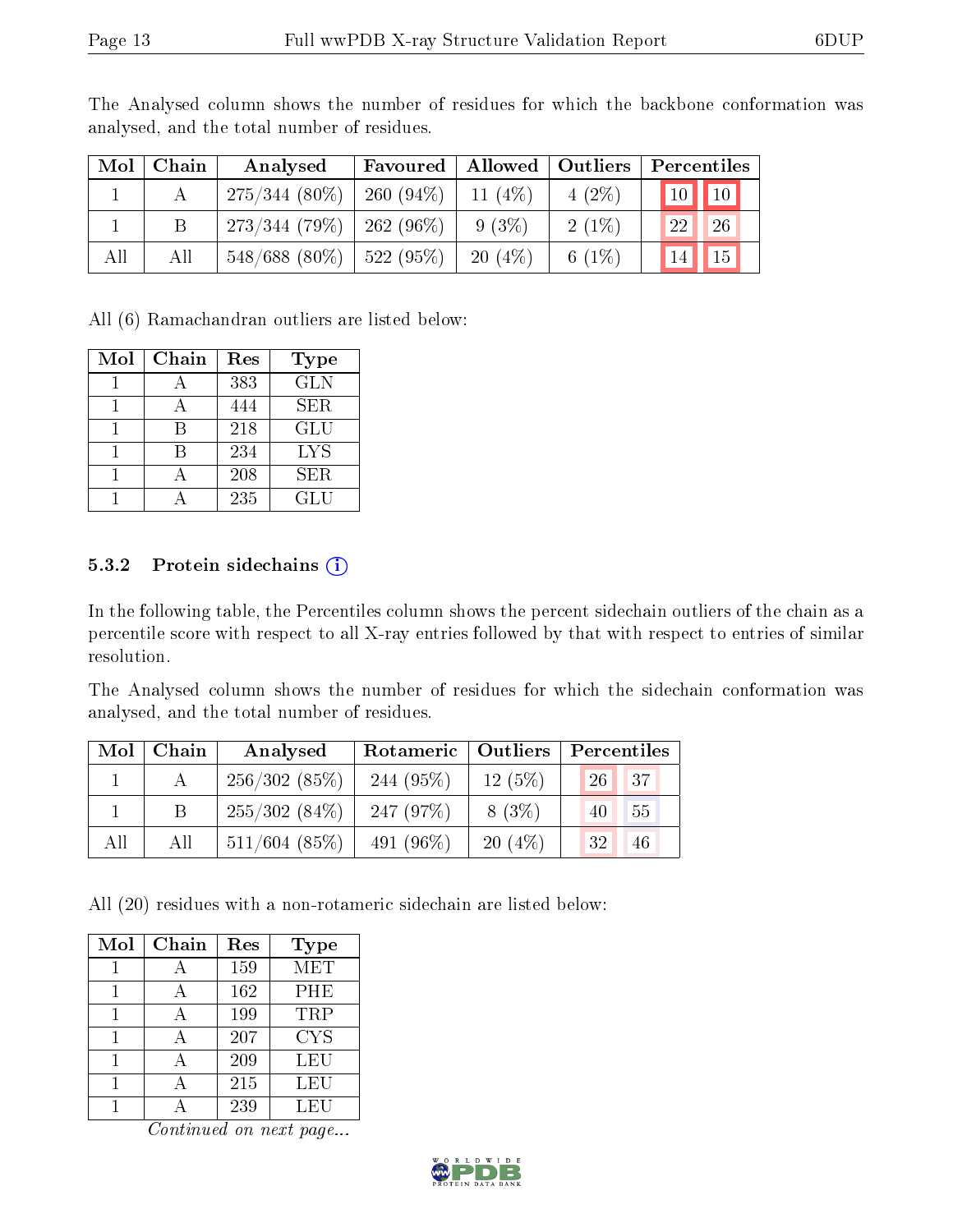| Mol | Chain | Analysed        | Favoured             | Allowed   | $\vert$ Outliers | Percentiles                          |
|-----|-------|-----------------|----------------------|-----------|------------------|--------------------------------------|
|     |       | $275/344(80\%)$ | $260(94\%)$          | 11 $(4%)$ | $4(2\%)$         | $\boxed{10}$<br>$'10$ $\blacksquare$ |
|     |       | 273/344(79%)    | $262(96\%)$          | $9(3\%)$  | $2(1\%)$         | 26<br>22                             |
| All | All   | $548/688(80\%)$ | $^{\circ}$ 522 (95%) | 20(4%)    | 6 $(1\%)$        | 15 <sup>2</sup><br>14                |

The Analysed column shows the number of residues for which the backbone conformation was analysed, and the total number of residues.

All (6) Ramachandran outliers are listed below:

| Mol | Chain | Res | <b>Type</b> |
|-----|-------|-----|-------------|
|     |       | 383 | <b>GLN</b>  |
|     |       | 444 | <b>SER</b>  |
|     |       | 218 | GLU         |
|     |       | 234 | LYS         |
|     |       | 208 | SER         |
|     |       | 235 | GLU         |

#### 5.3.2 Protein sidechains  $(i)$

In the following table, the Percentiles column shows the percent sidechain outliers of the chain as a percentile score with respect to all X-ray entries followed by that with respect to entries of similar resolution.

The Analysed column shows the number of residues for which the sidechain conformation was analysed, and the total number of residues.

| $\text{Mol}$ | Chain | Analysed        | Rotameric   Outliers |          | Percentiles          |  |
|--------------|-------|-----------------|----------------------|----------|----------------------|--|
|              |       | 256/302(85%)    | $244(95\%)$          | 12(5%)   | $\sqrt{37}$<br>$26+$ |  |
|              |       | $255/302(84\%)$ | 247(97%)             | $8(3\%)$ | 55<br>40             |  |
| All          | All   | $511/604$ (85%) | 491 $(96\%)$         | 20(4%)   | 46<br>32             |  |

All (20) residues with a non-rotameric sidechain are listed below:

| Mol | Chain | Res | <b>Type</b> |
|-----|-------|-----|-------------|
|     |       | 159 | MET         |
|     |       | 162 | PHE         |
|     |       | 199 | TRP         |
|     |       | 207 | CYS         |
|     |       | 209 | LEU         |
|     |       | 215 | LEU         |
|     |       | 239 | LEU         |

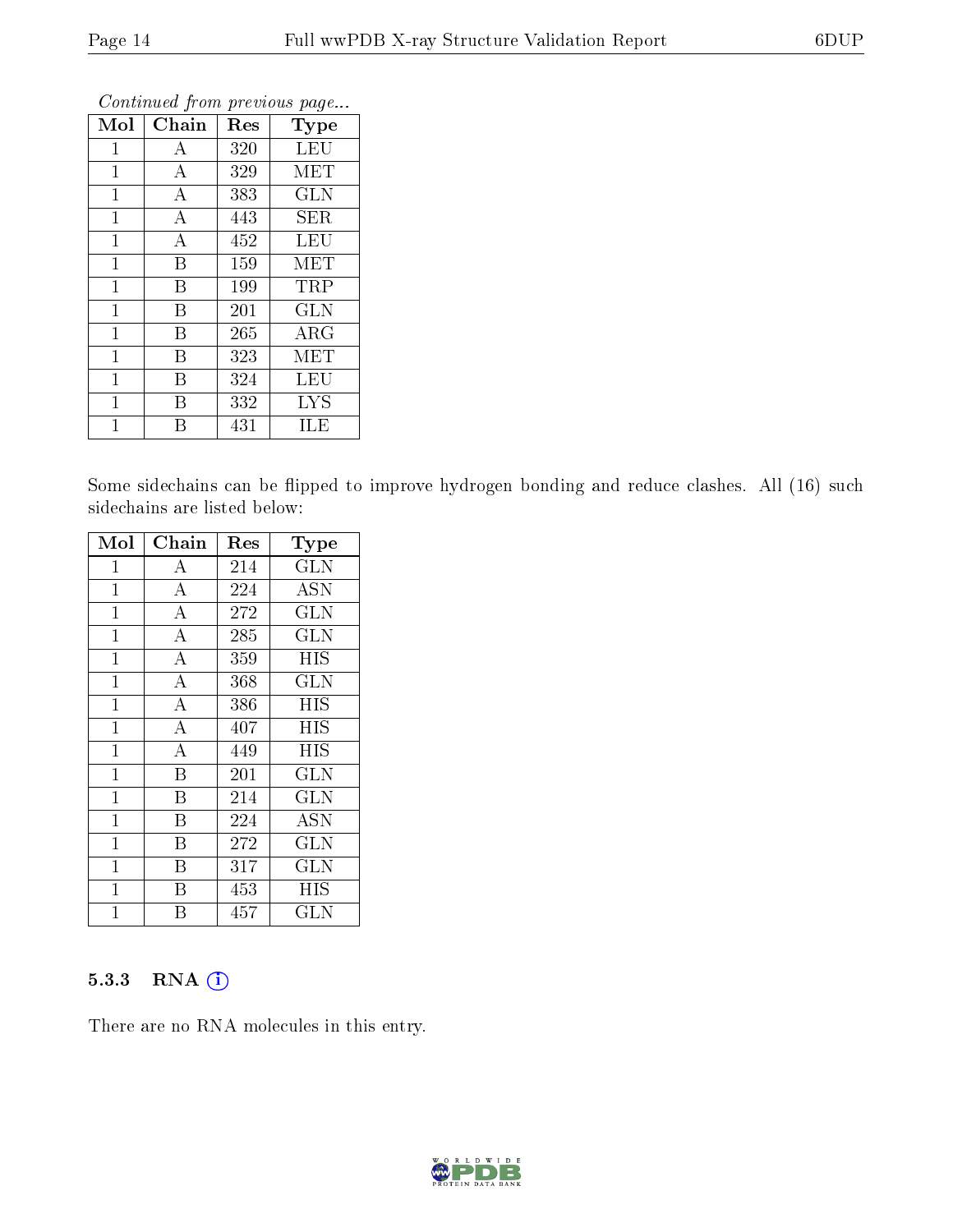| Mol            | Chain            | Res | Type                    |
|----------------|------------------|-----|-------------------------|
| $\mathbf{1}$   | А                | 320 | LEU                     |
| 1              | $\boldsymbol{A}$ | 329 | MET                     |
| 1              | A                | 383 | <b>GLN</b>              |
| $\mathbf{1}$   | A                | 443 | SER                     |
| $\mathbf{1}$   | $\boldsymbol{A}$ | 452 | $\overline{\text{LEU}}$ |
| $\mathbf{1}$   | B                | 159 | MET                     |
| $\mathbf 1$    | B                | 199 | TRP                     |
| $\mathbf{1}$   | B                | 201 | <b>GLN</b>              |
| $\overline{1}$ | B                | 265 | $\rm{ARG}$              |
| $\mathbf{1}$   | B                | 323 | MET                     |
| 1              | B                | 324 | LEU                     |
| $\mathbf{1}$   | В                | 332 | <b>LYS</b>              |
| 1              | В                | 431 | ILE                     |

Some sidechains can be flipped to improve hydrogen bonding and reduce clashes. All (16) such sidechains are listed below:

| Mol            | Chain              | $\operatorname{Res}% \left( \mathcal{N}\right) \equiv\operatorname{Res}(\mathcal{N}_{0},\mathcal{N}_{0})$ | $_{\rm Type}$        |
|----------------|--------------------|-----------------------------------------------------------------------------------------------------------|----------------------|
| $\mathbf 1$    | A                  | 214                                                                                                       | <b>GLN</b>           |
| 1              | $\overline{A}$     | 224                                                                                                       | <b>ASN</b>           |
| $\mathbf{1}$   | $\overline{\rm A}$ | 272                                                                                                       | <b>GLN</b>           |
| $\mathbf 1$    | $\overline{\rm A}$ | 285                                                                                                       | GLN                  |
| $\mathbf{1}$   | $\bf{A}$           | 359                                                                                                       | <b>HIS</b>           |
| $\overline{1}$ | $\overline{\rm A}$ | 368                                                                                                       | <b>GLN</b>           |
| $\mathbf 1$    | $\bf{A}$           | 386                                                                                                       | <b>HIS</b>           |
| $\mathbf{1}$   | $\overline{\rm A}$ | 407                                                                                                       | HIS                  |
| $\mathbf{1}$   | $\overline{A}$     | 449                                                                                                       | HIS                  |
| $\mathbf{1}$   | $\overline{B}$     | 201                                                                                                       | <b>GLN</b>           |
| $\overline{1}$ | B                  | 214                                                                                                       | $\operatorname{GLN}$ |
| $\mathbf{1}$   | B                  | 224                                                                                                       | <b>ASN</b>           |
| $\mathbf{1}$   | B                  | 272                                                                                                       | <b>GLN</b>           |
| $\mathbf 1$    | B                  | 317                                                                                                       | <b>GLN</b>           |
| $\overline{1}$ | B                  | 453                                                                                                       | HIS                  |
| 1              | В                  | 457                                                                                                       | GLN                  |

#### 5.3.3 RNA (1)

There are no RNA molecules in this entry.

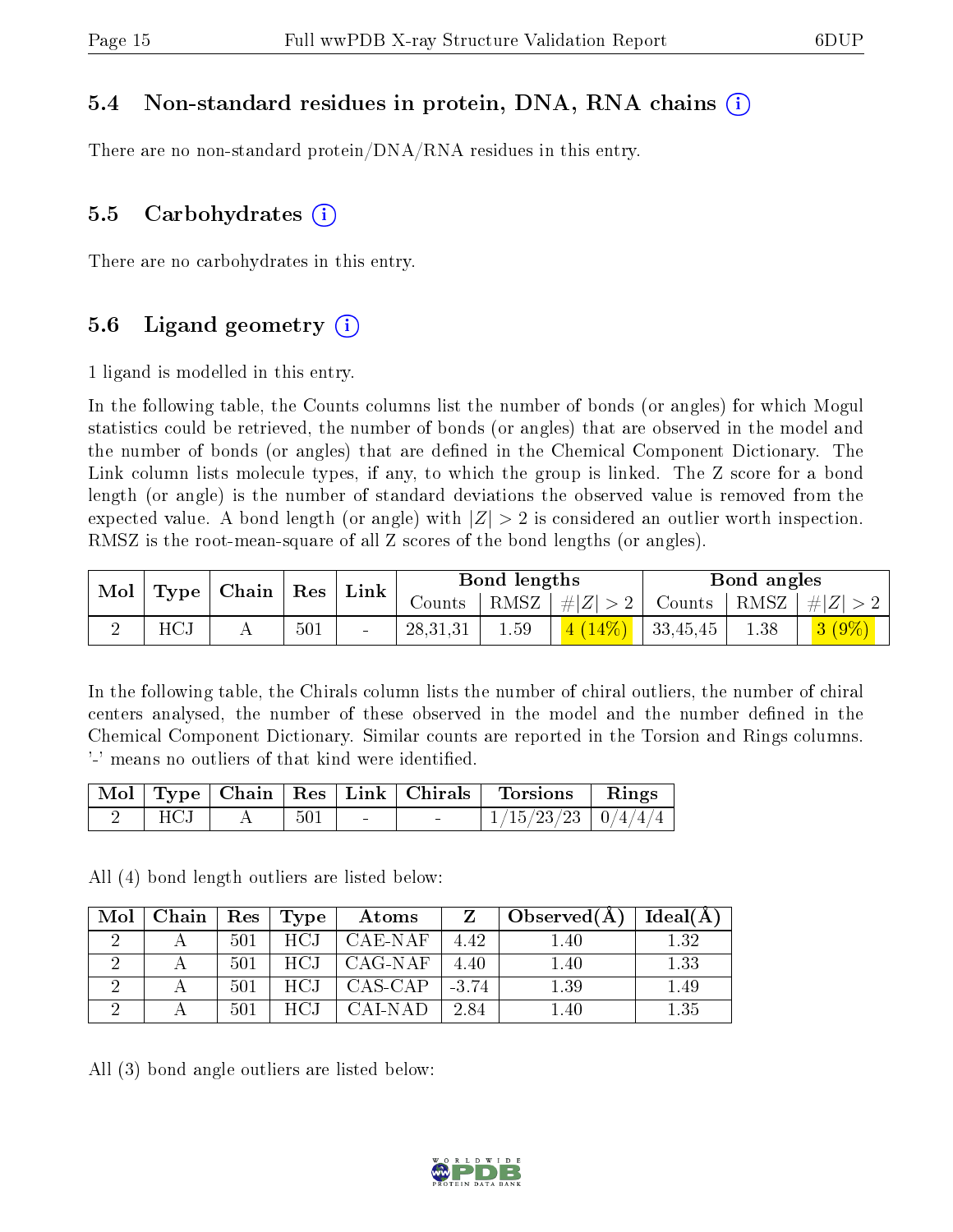### 5.4 Non-standard residues in protein, DNA, RNA chains (i)

There are no non-standard protein/DNA/RNA residues in this entry.

#### 5.5 Carbohydrates  $(i)$

There are no carbohydrates in this entry.

### 5.6 Ligand geometry  $(i)$

1 ligand is modelled in this entry.

In the following table, the Counts columns list the number of bonds (or angles) for which Mogul statistics could be retrieved, the number of bonds (or angles) that are observed in the model and the number of bonds (or angles) that are dened in the Chemical Component Dictionary. The Link column lists molecule types, if any, to which the group is linked. The Z score for a bond length (or angle) is the number of standard deviations the observed value is removed from the expected value. A bond length (or angle) with  $|Z| > 2$  is considered an outlier worth inspection. RMSZ is the root-mean-square of all Z scores of the bond lengths (or angles).

| $\mid$ Mol $\mid$ |     | $\mid$ Type $\mid$ Chain $\mid$ Res $\mid$ Link |     |            | Bond lengths |                            | Bond angles |                                                                   |
|-------------------|-----|-------------------------------------------------|-----|------------|--------------|----------------------------|-------------|-------------------------------------------------------------------|
|                   |     |                                                 |     |            |              |                            |             | Counts   RMSZ $\mid \#  Z  > 2$   Counts   RMSZ $\mid \#  Z  > 2$ |
|                   | HCJ |                                                 | 501 | 28, 31, 31 | 1.59         | $\vert$ 4 (14%)   33,45,45 | 1.38        | $3(9\%)$                                                          |

In the following table, the Chirals column lists the number of chiral outliers, the number of chiral centers analysed, the number of these observed in the model and the number defined in the Chemical Component Dictionary. Similar counts are reported in the Torsion and Rings columns. '-' means no outliers of that kind were identified.

|     |     |        |        | Mol   Type   Chain   Res   Link   Chirals   Torsions   Rings |  |
|-----|-----|--------|--------|--------------------------------------------------------------|--|
| HCJ | 501 | $\sim$ | $\sim$ | $1/15/23/23$   $0/4/4/4$                                     |  |

All (4) bond length outliers are listed below:

| Mol   Chain   Res   Type |     |       | Atoms                   |      | Observed $(A)$ | $\perp$ Ideal(A) $\perp$ |
|--------------------------|-----|-------|-------------------------|------|----------------|--------------------------|
|                          | 501 | HCJ   | CAE-NAF                 | 4.42 | 1.40           | 1.32                     |
|                          | 501 |       | $HCI$   CAG-NAF         | 4.40 | 1.40           | 1.33                     |
|                          | 501 |       | $HCI$   CAS-CAP   -3.74 |      | 1.39           | 1.49                     |
|                          | 501 | HCJ – | – CAL-NAD–              | 2.84 | 1.40           | 1.35                     |

All (3) bond angle outliers are listed below:

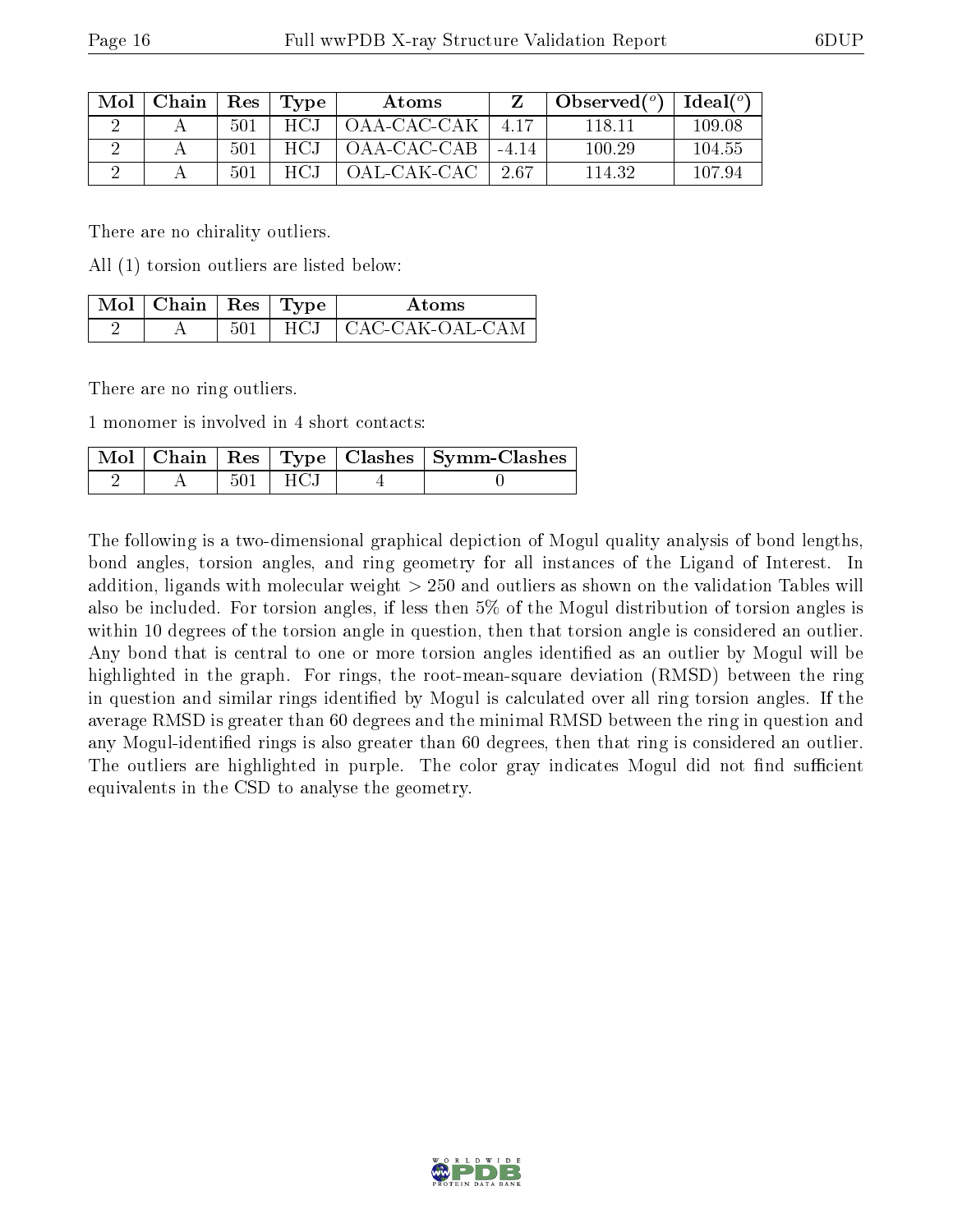| Mol | Chain | $^{\circ}$ Res $_{\circ}$ | Type | Atoms       |       | Observed $(°)$ | $\text{Ideal}(\textsuperscript{o})$ |
|-----|-------|---------------------------|------|-------------|-------|----------------|-------------------------------------|
|     |       | 501                       | HCJ  | OAA-CAC-CAK | -417  | 118 1.         | 109.08                              |
|     |       | 501                       | HCJ  | OAA-CAC-CAB | -414  | 100.29         | -104.55                             |
|     |       | -501                      | HC1  | OAL-CAK-CAC | -2.67 | 114.32         | 107.94                              |

There are no chirality outliers.

All (1) torsion outliers are listed below:

| $\Delta$ Mol $\mid$ Chain $\mid$ Res $\mid$ Type $\mid$ |      | Atoms           |
|---------------------------------------------------------|------|-----------------|
|                                                         | HCJ. | CAC-CAK-OAL-CAM |

There are no ring outliers.

1 monomer is involved in 4 short contacts:

|  |        |        | $\sqrt{\text{Mol}\parallel\text{Chain}}\parallel\text{Res}\parallel\text{Type}\parallel\text{Class}\parallel\text{Symm-Class}\parallel$ |
|--|--------|--------|-----------------------------------------------------------------------------------------------------------------------------------------|
|  | -501 - | T HC.I |                                                                                                                                         |

The following is a two-dimensional graphical depiction of Mogul quality analysis of bond lengths, bond angles, torsion angles, and ring geometry for all instances of the Ligand of Interest. In addition, ligands with molecular weight > 250 and outliers as shown on the validation Tables will also be included. For torsion angles, if less then 5% of the Mogul distribution of torsion angles is within 10 degrees of the torsion angle in question, then that torsion angle is considered an outlier. Any bond that is central to one or more torsion angles identified as an outlier by Mogul will be highlighted in the graph. For rings, the root-mean-square deviation (RMSD) between the ring in question and similar rings identified by Mogul is calculated over all ring torsion angles. If the average RMSD is greater than 60 degrees and the minimal RMSD between the ring in question and any Mogul-identified rings is also greater than 60 degrees, then that ring is considered an outlier. The outliers are highlighted in purple. The color gray indicates Mogul did not find sufficient equivalents in the CSD to analyse the geometry.

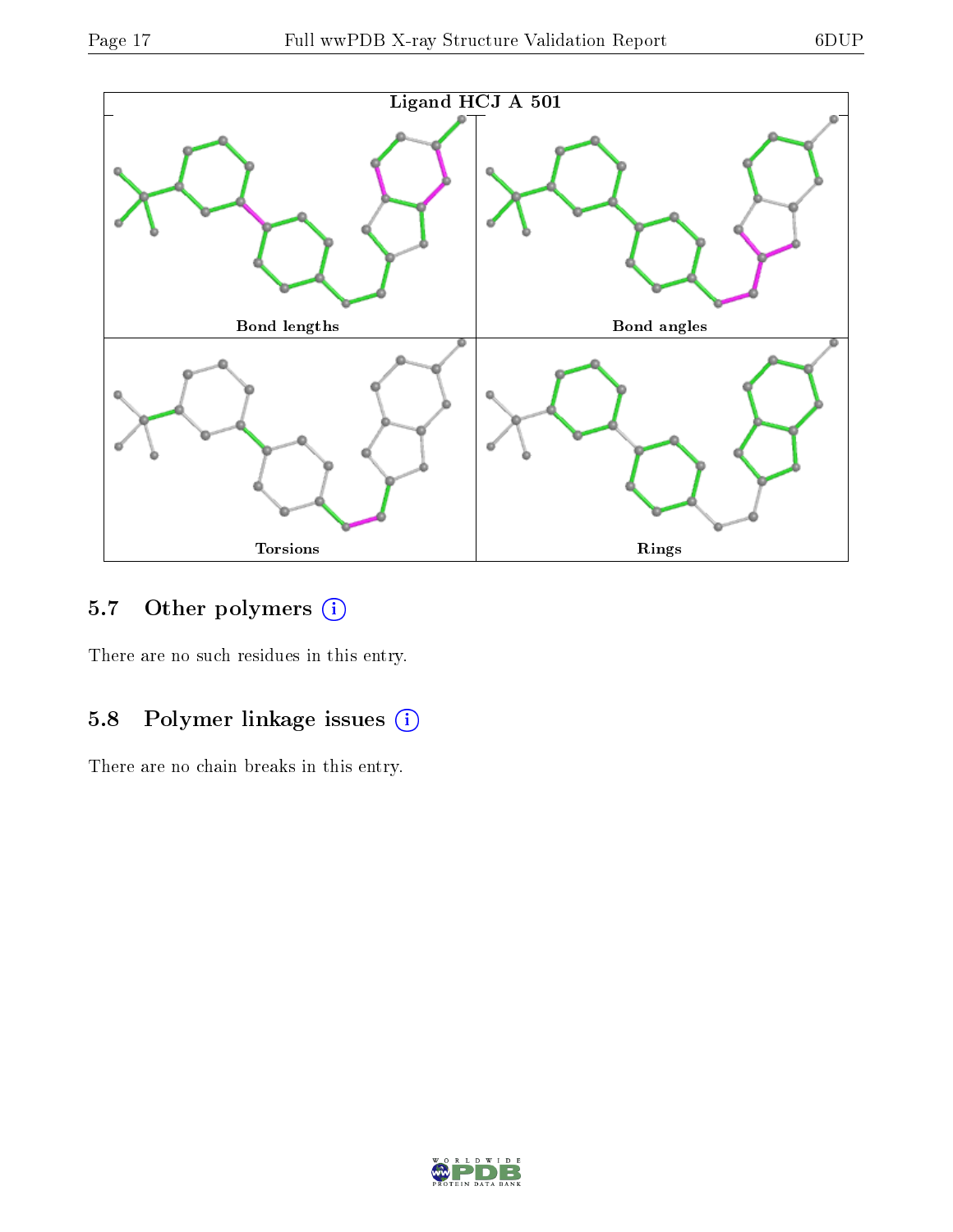

### 5.7 [O](https://www.wwpdb.org/validation/2017/XrayValidationReportHelp#nonstandard_residues_and_ligands)ther polymers (i)

There are no such residues in this entry.

### 5.8 Polymer linkage issues (i)

There are no chain breaks in this entry.

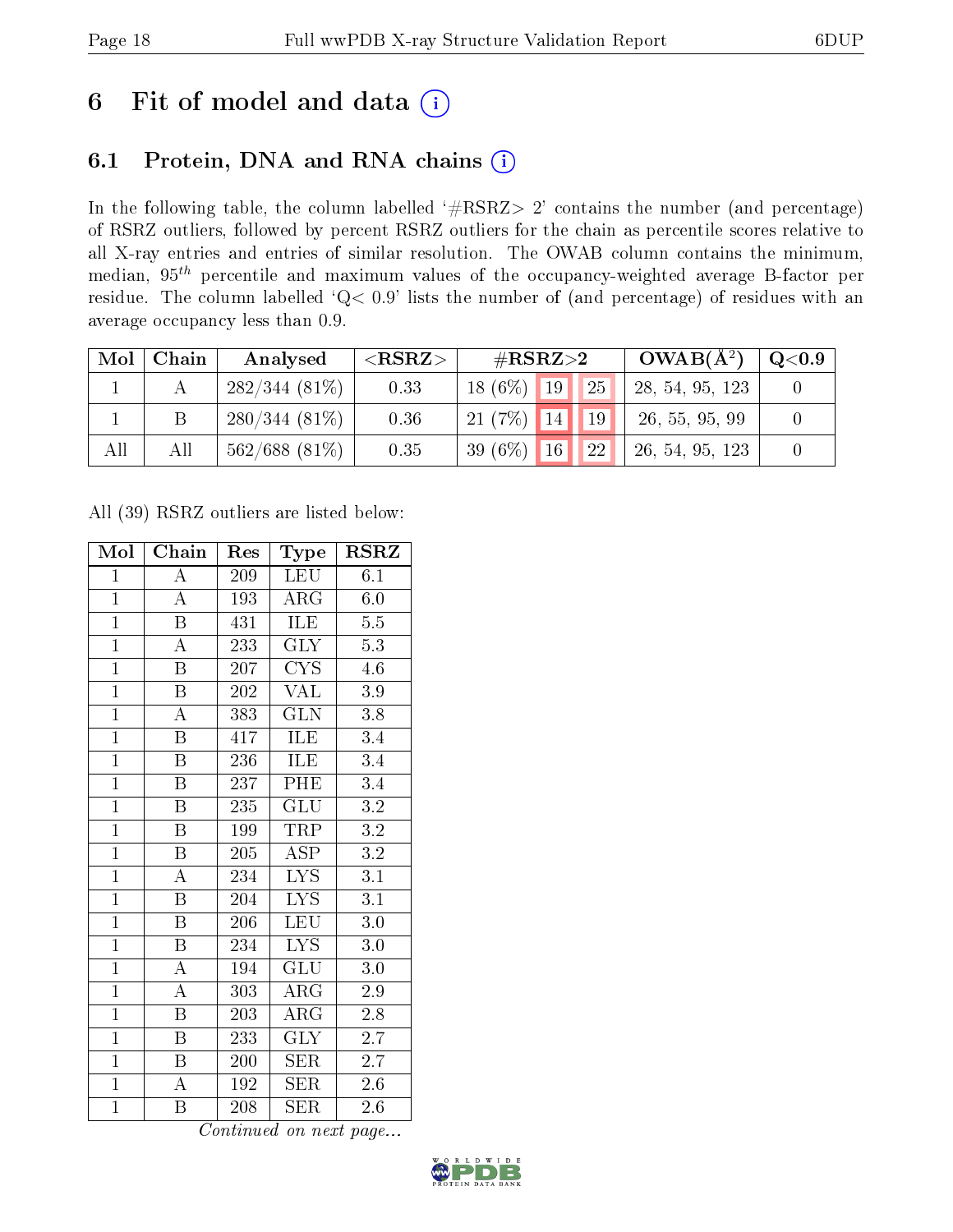# 6 Fit of model and data  $(i)$

### 6.1 Protein, DNA and RNA chains  $(i)$

In the following table, the column labelled  $#RSRZ> 2'$  contains the number (and percentage) of RSRZ outliers, followed by percent RSRZ outliers for the chain as percentile scores relative to all X-ray entries and entries of similar resolution. The OWAB column contains the minimum, median,  $95<sup>th</sup>$  percentile and maximum values of the occupancy-weighted average B-factor per residue. The column labelled ' $Q< 0.9$ ' lists the number of (and percentage) of residues with an average occupancy less than 0.9.

| Mol | Chain | Analysed         | $<$ RSRZ $>$ | $\#\text{RSRZ}{>}2$              | $OWAB(A^2)$     | $\rm Q\textcolor{black}{<}0.9$ |
|-----|-------|------------------|--------------|----------------------------------|-----------------|--------------------------------|
|     |       | $282/344(81\%)$  | 0.33         | 25 <br>$18(6\%)$ 19              | 28, 54, 95, 123 |                                |
|     |       | $280/344(81\%)$  | 0.36         | $21(7\%)$ 14<br>$\overline{419}$ | 26, 55, 95, 99  |                                |
| All | All   | $562/688$ (81\%) | 0.35         | 22<br>39 (6\%) 16                | 26, 54, 95, 123 |                                |

All (39) RSRZ outliers are listed below:

| Mol            | Chain                   | Res | Type                    | <b>RSRZ</b>      |
|----------------|-------------------------|-----|-------------------------|------------------|
| $\mathbf{1}$   | $\overline{\rm A}$      | 209 | LEU                     | 6.1              |
| $\mathbf{1}$   | $\overline{\rm A}$      | 193 | $\rm{ARG}$              | 6.0              |
| $\overline{1}$ | B                       | 431 | ILE                     | $5.5\,$          |
| $\overline{1}$ | $\boldsymbol{A}$        | 233 | GLY                     | 5.3              |
| $\overline{1}$ | $\overline{\mathrm{B}}$ | 207 | $\overline{\text{CYS}}$ | $4.\overline{6}$ |
| $\overline{1}$ | $\boldsymbol{B}$        | 202 | VAL                     | 3.9              |
| $\overline{1}$ | $\overline{A}$          | 383 | <b>GLN</b>              | 3.8              |
| $\overline{1}$ | $\boldsymbol{B}$        | 417 | ILE                     | 3.4              |
| $\overline{1}$ | $\overline{\mathrm{B}}$ | 236 | ILE                     | 3.4              |
| $\overline{1}$ | $\overline{\mathrm{B}}$ | 237 | PHE                     | $\overline{3.4}$ |
| $\overline{1}$ | $\overline{\mathbf{B}}$ | 235 | $\overline{\text{GLU}}$ | $\overline{3.2}$ |
| $\overline{1}$ | $\overline{\mathrm{B}}$ | 199 | <b>TRP</b>              | $\overline{3.2}$ |
| $\overline{1}$ | $\overline{B}$          | 205 | $\overline{\text{ASP}}$ | 3.2              |
| $\overline{1}$ | $\overline{\rm A}$      | 234 | $\overline{\text{LYS}}$ | 3.1              |
| $\overline{1}$ | $\overline{\mathrm{B}}$ | 204 | $\overline{\text{LYS}}$ | $\overline{3.1}$ |
| $\mathbf{1}$   | $\overline{B}$          | 206 | <b>LEU</b>              | $3.0\,$          |
| $\overline{1}$ | $\overline{\mathrm{B}}$ | 234 | $\overline{\text{LYS}}$ | $\overline{3.0}$ |
| $\mathbf{1}$   | A                       | 194 | GLU                     | $3.0\,$          |
| $\overline{1}$ | $\bf{A}$                | 303 | ARG                     | 2.9              |
| $\overline{1}$ | $\overline{B}$          | 203 | $\rm{ARG}$              | $2.8\,$          |
| $\mathbf{1}$   | $\overline{B}$          | 233 | <b>GLY</b>              | 2.7              |
| $\mathbf{1}$   | $\boldsymbol{B}$        | 200 | <b>SER</b>              | $2.\bar{7}$      |
| $\overline{1}$ | $\boldsymbol{A}$        | 192 | <b>SER</b>              | $2.6\,$          |
| $\mathbf{1}$   | Β                       | 208 | <b>SER</b>              | 2.6              |

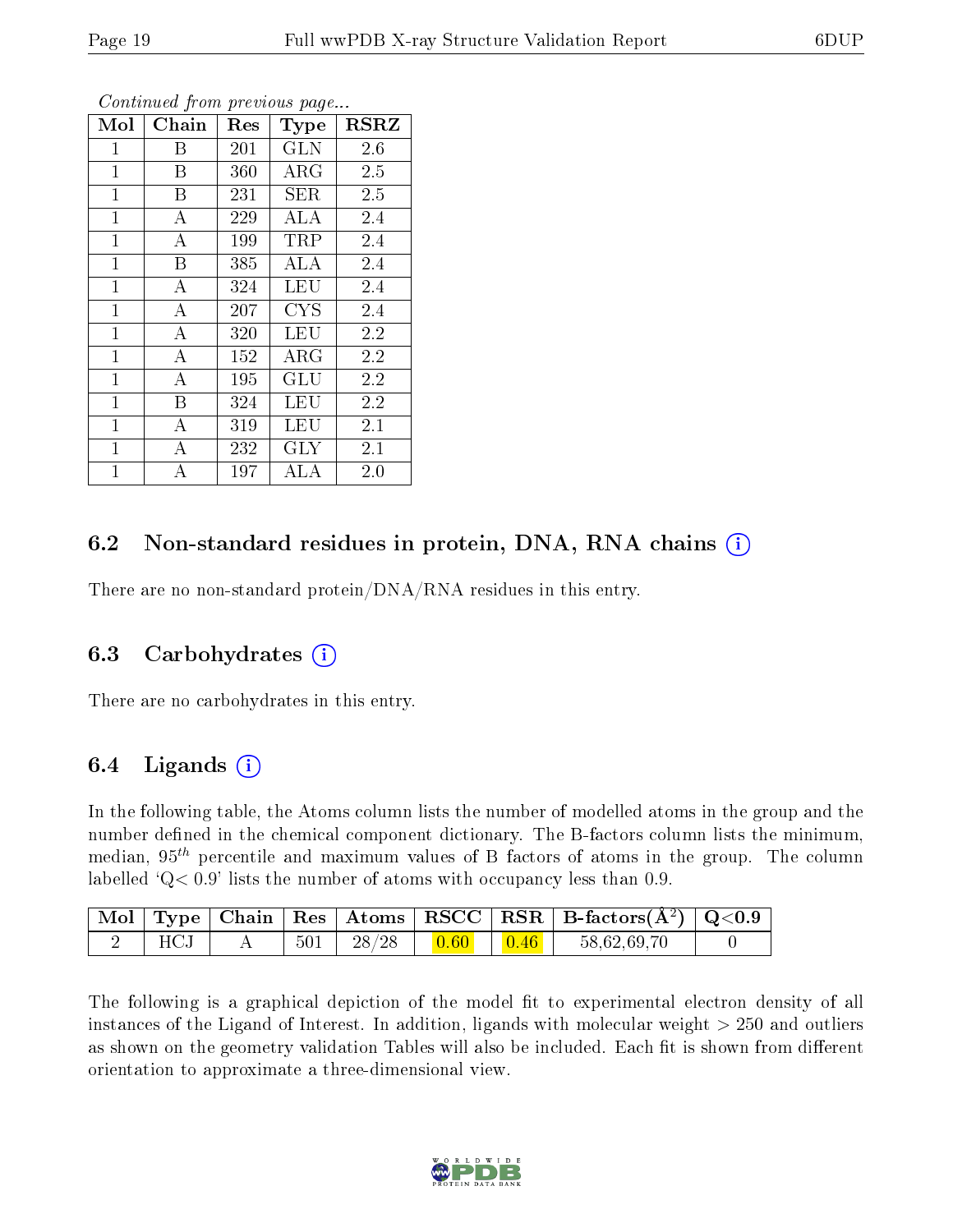| Mol          | Chain    | Res | Type       | <b>RSRZ</b> |
|--------------|----------|-----|------------|-------------|
| 1            | Β        | 201 | <b>GLN</b> | 2.6         |
| $\mathbf{1}$ | B        | 360 | $\rm{ARG}$ | 2.5         |
| $\mathbf 1$  | B        | 231 | <b>SER</b> | 2.5         |
| $\mathbf{1}$ | А        | 229 | ALA        | 2.4         |
| $\mathbf{1}$ | $\bf{A}$ | 199 | TRP        | 2.4         |
| $\mathbf{1}$ | B        | 385 | <b>ALA</b> | 2.4         |
| $\mathbf{1}$ | A        | 324 | <b>LEU</b> | 2.4         |
| $\mathbf{1}$ | A        | 207 | <b>CYS</b> | 2.4         |
| $\mathbf{1}$ | $\bf{A}$ | 320 | <b>LEU</b> | 2.2         |
| $\mathbf{1}$ | А        | 152 | $\rm{ARG}$ | 2.2         |
| $\mathbf{1}$ | А        | 195 | GLU        | 2.2         |
| $\mathbf{1}$ | B        | 324 | <b>LEU</b> | 2.2         |
| $\mathbf{1}$ | A        | 319 | <b>LEU</b> | 2.1         |
| $\mathbf{1}$ | A        | 232 | <b>GLY</b> | 2.1         |
| $\mathbf 1$  | A        | 197 | ALA        | 2.0         |

### 6.2 Non-standard residues in protein, DNA, RNA chains (i)

There are no non-standard protein/DNA/RNA residues in this entry.

#### 6.3 Carbohydrates (i)

There are no carbohydrates in this entry.

### 6.4 Ligands  $(i)$

In the following table, the Atoms column lists the number of modelled atoms in the group and the number defined in the chemical component dictionary. The B-factors column lists the minimum, median,  $95<sup>th</sup>$  percentile and maximum values of B factors of atoms in the group. The column labelled  $Q< 0.9$ ' lists the number of atoms with occupancy less than 0.9.

|              |     |          |                |                | Mol   Type   Chain   Res   Atoms   RSCC   RSR   B-factors $(A^2)$   Q<0.9 |  |
|--------------|-----|----------|----------------|----------------|---------------------------------------------------------------------------|--|
| $_{\rm HCl}$ | 501 | $-28/28$ | $ 0.60\rangle$ | $\boxed{0.46}$ | 58,62,69,70                                                               |  |

The following is a graphical depiction of the model fit to experimental electron density of all instances of the Ligand of Interest. In addition, ligands with molecular weight  $> 250$  and outliers as shown on the geometry validation Tables will also be included. Each fit is shown from different orientation to approximate a three-dimensional view.